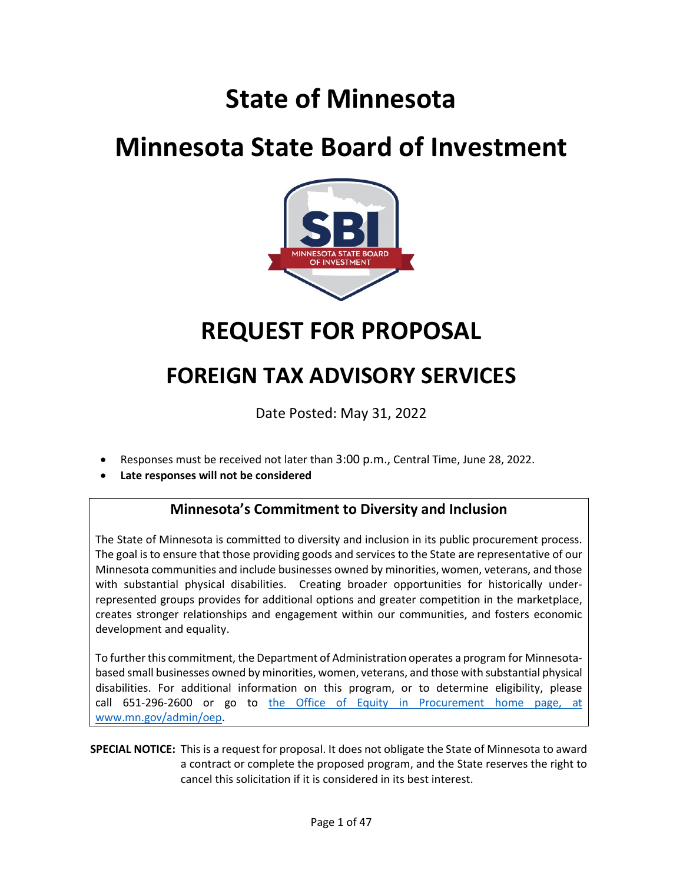# **State of Minnesota**

# **Minnesota State Board of Investment**



# **REQUEST FOR PROPOSAL**

# **FOREIGN TAX ADVISORY SERVICES**

Date Posted: May 31, 2022

- Responses must be received not later than 3:00 p.m., Central Time, June 28, 2022.
- **Late responses will not be considered**

## **Minnesota's Commitment to Diversity and Inclusion**

The State of Minnesota is committed to diversity and inclusion in its public procurement process. The goal is to ensure that those providing goods and services to the State are representative of our Minnesota communities and include businesses owned by minorities, women, veterans, and those with substantial physical disabilities. Creating broader opportunities for historically underrepresented groups provides for additional options and greater competition in the marketplace, creates stronger relationships and engagement within our communities, and fosters economic development and equality.

To further this commitment, the Department of Administration operates a program for Minnesotabased small businesses owned by minorities, women, veterans, and those with substantial physical disabilities. For additional information on this program, or to determine eligibility, please call 651-296-2600 or go to the Office of Equity in Procurement home page, at [www.mn.gov/admin/oep.](http://www.mn.gov/admin/oep)

**SPECIAL NOTICE:** This is a request for proposal. It does not obligate the State of Minnesota to award a contract or complete the proposed program, and the State reserves the right to cancel this solicitation if it is considered in its best interest.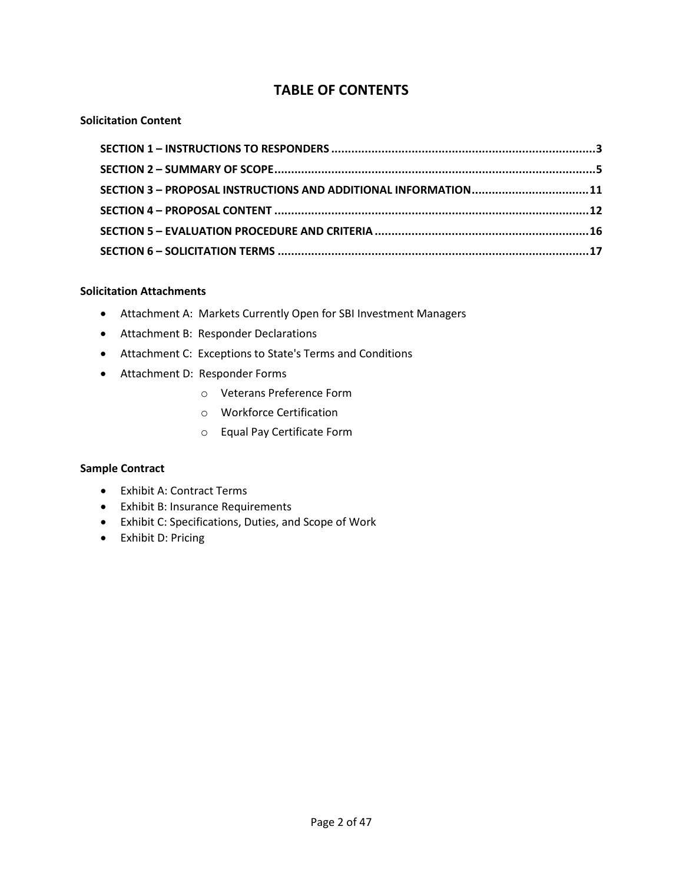## **TABLE OF CONTENTS**

### **Solicitation Content**

| SECTION 3 - PROPOSAL INSTRUCTIONS AND ADDITIONAL INFORMATION11 |  |
|----------------------------------------------------------------|--|
|                                                                |  |
|                                                                |  |
|                                                                |  |

### **Solicitation Attachments**

- Attachment A: Markets Currently Open for SBI Investment Managers
- Attachment B: Responder Declarations
- Attachment C: Exceptions to State's Terms and Conditions
- Attachment D: Responder Forms
	- o Veterans Preference Form
	- o Workforce Certification
	- o Equal Pay Certificate Form

### **Sample Contract**

- Exhibit A: Contract Terms
- Exhibit B: Insurance Requirements
- Exhibit C: Specifications, Duties, and Scope of Work
- Exhibit D: Pricing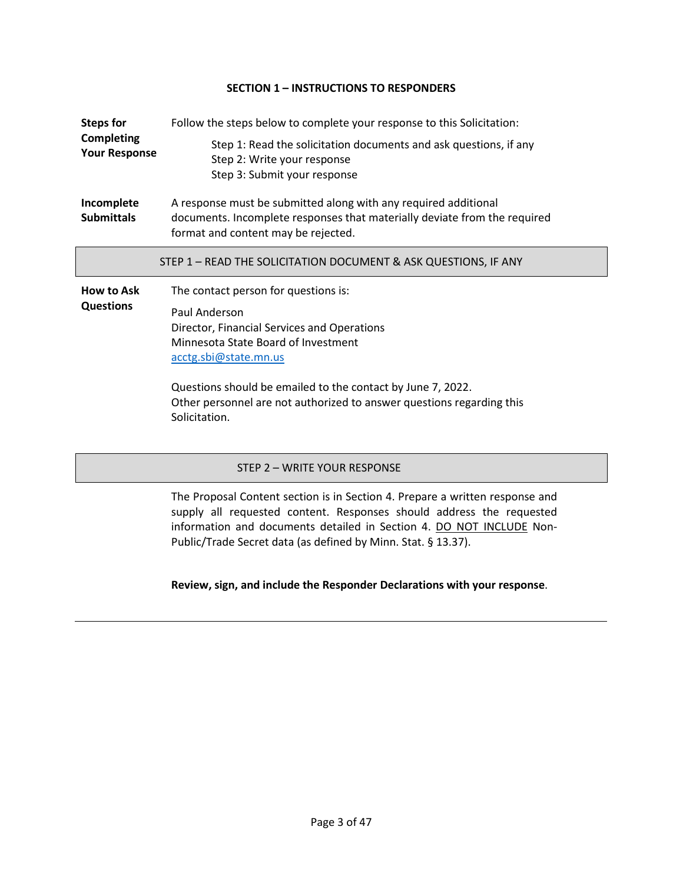### **SECTION 1 – INSTRUCTIONS TO RESPONDERS**

<span id="page-2-0"></span>

| <b>Steps for</b>                          | Follow the steps below to complete your response to this Solicitation:                                                                                                                                                                                                                                                        |  |
|-------------------------------------------|-------------------------------------------------------------------------------------------------------------------------------------------------------------------------------------------------------------------------------------------------------------------------------------------------------------------------------|--|
| <b>Completing</b><br><b>Your Response</b> | Step 1: Read the solicitation documents and ask questions, if any<br>Step 2: Write your response<br>Step 3: Submit your response                                                                                                                                                                                              |  |
| Incomplete<br><b>Submittals</b>           | A response must be submitted along with any required additional<br>documents. Incomplete responses that materially deviate from the required<br>format and content may be rejected.                                                                                                                                           |  |
|                                           | STEP 1 - READ THE SOLICITATION DOCUMENT & ASK QUESTIONS, IF ANY                                                                                                                                                                                                                                                               |  |
| <b>How to Ask</b><br><b>Questions</b>     | The contact person for questions is:<br>Paul Anderson<br>Director, Financial Services and Operations<br>Minnesota State Board of Investment<br>acctg.sbi@state.mn.us<br>Questions should be emailed to the contact by June 7, 2022.<br>Other personnel are not authorized to answer questions regarding this<br>Solicitation. |  |

### STEP 2 – WRITE YOUR RESPONSE

The Proposal Content section is in Section 4. Prepare a written response and supply all requested content. Responses should address the requested information and documents detailed in Section 4. DO NOT INCLUDE Non-Public/Trade Secret data (as defined by Minn. Stat. § 13.37).

### **Review, sign, and include the Responder Declarations with your response**.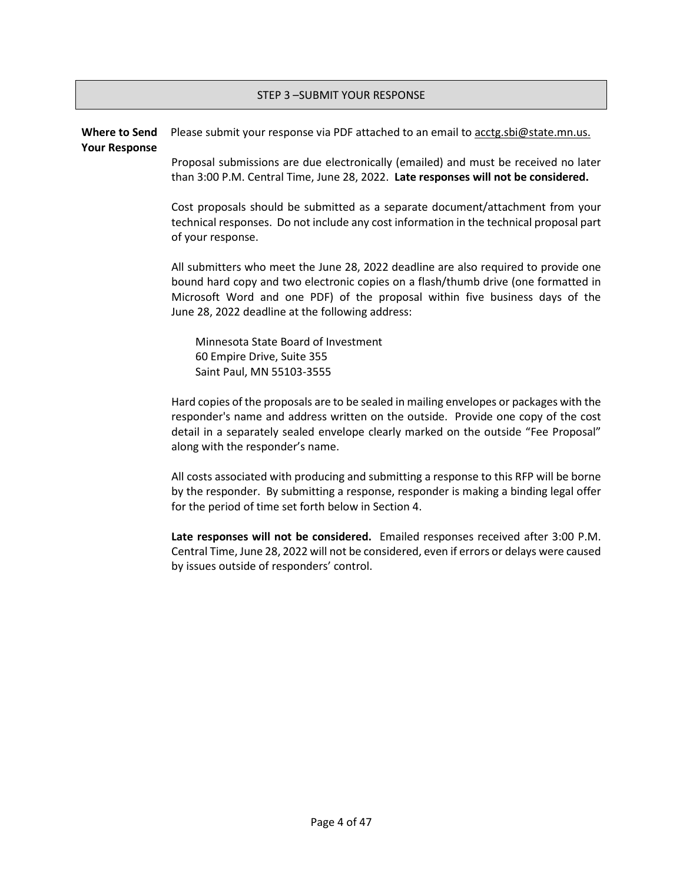### STEP 3 –SUBMIT YOUR RESPONSE

#### **Where to Send Your Response** Please submit your response via PDF attached to an email t[o acctg.sbi@state.mn.us.](mailto:acctg.sbi@state.mn.us)

Proposal submissions are due electronically (emailed) and must be received no later than 3:00 P.M. Central Time, June 28, 2022. **Late responses will not be considered.**

Cost proposals should be submitted as a separate document/attachment from your technical responses. Do not include any cost information in the technical proposal part of your response.

All submitters who meet the June 28, 2022 deadline are also required to provide one bound hard copy and two electronic copies on a flash/thumb drive (one formatted in Microsoft Word and one PDF) of the proposal within five business days of the June 28, 2022 deadline at the following address:

Minnesota State Board of Investment 60 Empire Drive, Suite 355 Saint Paul, MN 55103-3555

Hard copies of the proposals are to be sealed in mailing envelopes or packages with the responder's name and address written on the outside. Provide one copy of the cost detail in a separately sealed envelope clearly marked on the outside "Fee Proposal" along with the responder's name.

All costs associated with producing and submitting a response to this RFP will be borne by the responder. By submitting a response, responder is making a binding legal offer for the period of time set forth below in Section 4.

<span id="page-3-0"></span>**Late responses will not be considered.** Emailed responses received after 3:00 P.M. Central Time, June 28, 2022 will not be considered, even if errors or delays were caused by issues outside of responders' control.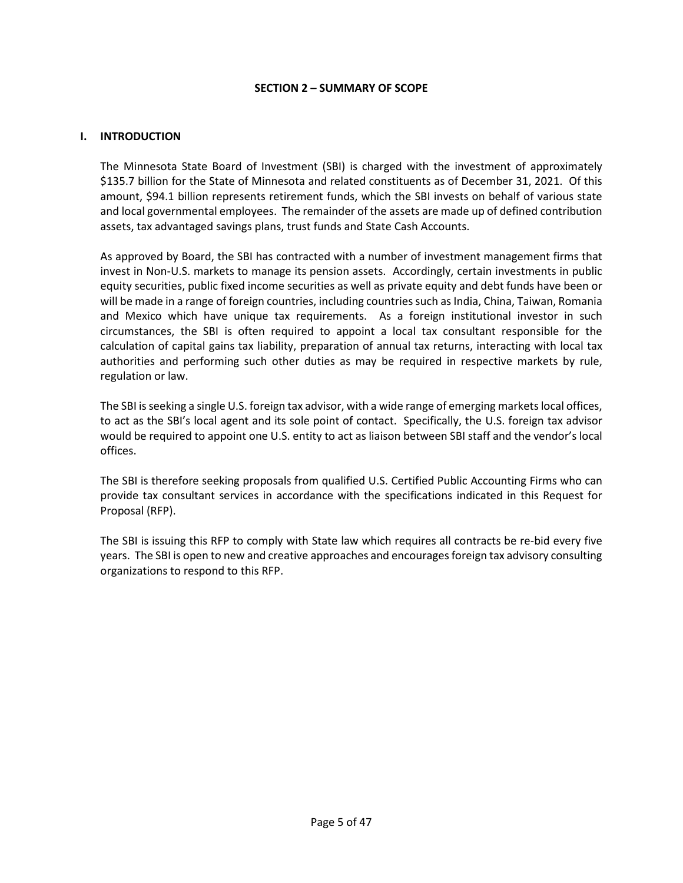#### **SECTION 2 – SUMMARY OF SCOPE**

#### **I. INTRODUCTION**

The Minnesota State Board of Investment (SBI) is charged with the investment of approximately \$135.7 billion for the State of Minnesota and related constituents as of December 31, 2021. Of this amount, \$94.1 billion represents retirement funds, which the SBI invests on behalf of various state and local governmental employees. The remainder of the assets are made up of defined contribution assets, tax advantaged savings plans, trust funds and State Cash Accounts.

As approved by Board, the SBI has contracted with a number of investment management firms that invest in Non-U.S. markets to manage its pension assets. Accordingly, certain investments in public equity securities, public fixed income securities as well as private equity and debt funds have been or will be made in a range of foreign countries, including countries such as India, China, Taiwan, Romania and Mexico which have unique tax requirements. As a foreign institutional investor in such circumstances, the SBI is often required to appoint a local tax consultant responsible for the calculation of capital gains tax liability, preparation of annual tax returns, interacting with local tax authorities and performing such other duties as may be required in respective markets by rule, regulation or law.

The SBI is seeking a single U.S. foreign tax advisor, with a wide range of emerging markets local offices, to act as the SBI's local agent and its sole point of contact. Specifically, the U.S. foreign tax advisor would be required to appoint one U.S. entity to act as liaison between SBI staff and the vendor's local offices.

The SBI is therefore seeking proposals from qualified U.S. Certified Public Accounting Firms who can provide tax consultant services in accordance with the specifications indicated in this Request for Proposal (RFP).

The SBI is issuing this RFP to comply with State law which requires all contracts be re-bid every five years. The SBI is open to new and creative approaches and encourages foreign tax advisory consulting organizations to respond to this RFP.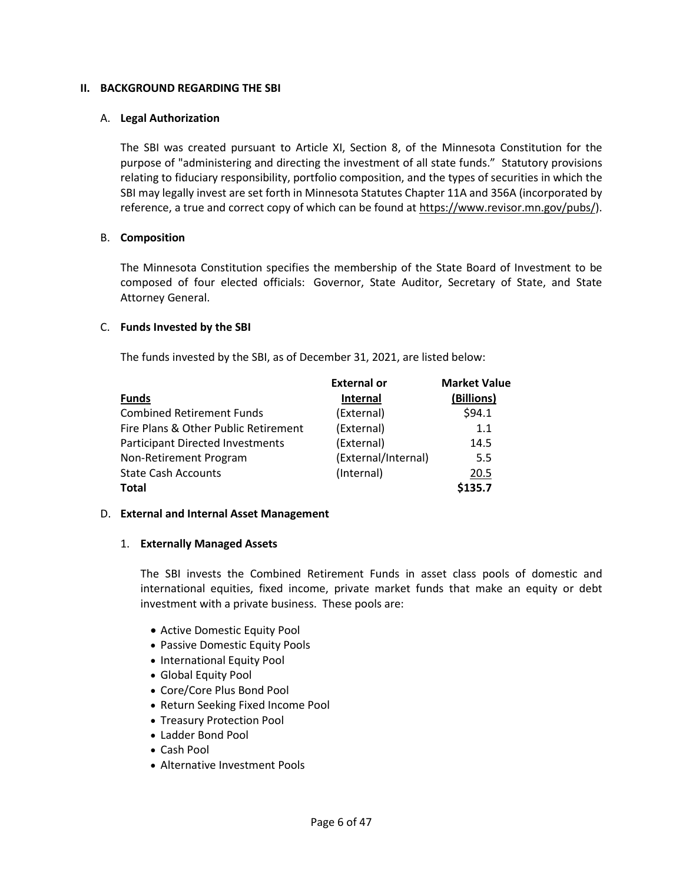### **II. BACKGROUND REGARDING THE SBI**

#### A. **Legal Authorization**

The SBI was created pursuant to Article XI, Section 8, of the Minnesota Constitution for the purpose of "administering and directing the investment of all state funds." Statutory provisions relating to fiduciary responsibility, portfolio composition, and the types of securities in which the SBI may legally invest are set forth in Minnesota Statutes Chapter 11A and 356A (incorporated by reference, a true and correct copy of which can be found at https://www.revisor.mn.gov/pubs/).

#### B. **Composition**

The Minnesota Constitution specifies the membership of the State Board of Investment to be composed of four elected officials: Governor, State Auditor, Secretary of State, and State Attorney General.

#### C. **Funds Invested by the SBI**

The funds invested by the SBI, as of December 31, 2021, are listed below:

|                                         | <b>External or</b>  | <b>Market Value</b> |
|-----------------------------------------|---------------------|---------------------|
| <b>Funds</b>                            | <b>Internal</b>     | (Billions)          |
| <b>Combined Retirement Funds</b>        | (External)          | \$94.1              |
| Fire Plans & Other Public Retirement    | (External)          | 1.1                 |
| <b>Participant Directed Investments</b> | (External)          | 14.5                |
| Non-Retirement Program                  | (External/Internal) | 5.5                 |
| <b>State Cash Accounts</b>              | (Internal)          | 20.5                |
| <b>Total</b>                            |                     | \$135.7             |

#### D. **External and Internal Asset Management**

#### 1. **Externally Managed Assets**

The SBI invests the Combined Retirement Funds in asset class pools of domestic and international equities, fixed income, private market funds that make an equity or debt investment with a private business. These pools are:

- Active Domestic Equity Pool
- Passive Domestic Equity Pools
- International Equity Pool
- Global Equity Pool
- Core/Core Plus Bond Pool
- Return Seeking Fixed Income Pool
- Treasury Protection Pool
- Ladder Bond Pool
- Cash Pool
- Alternative Investment Pools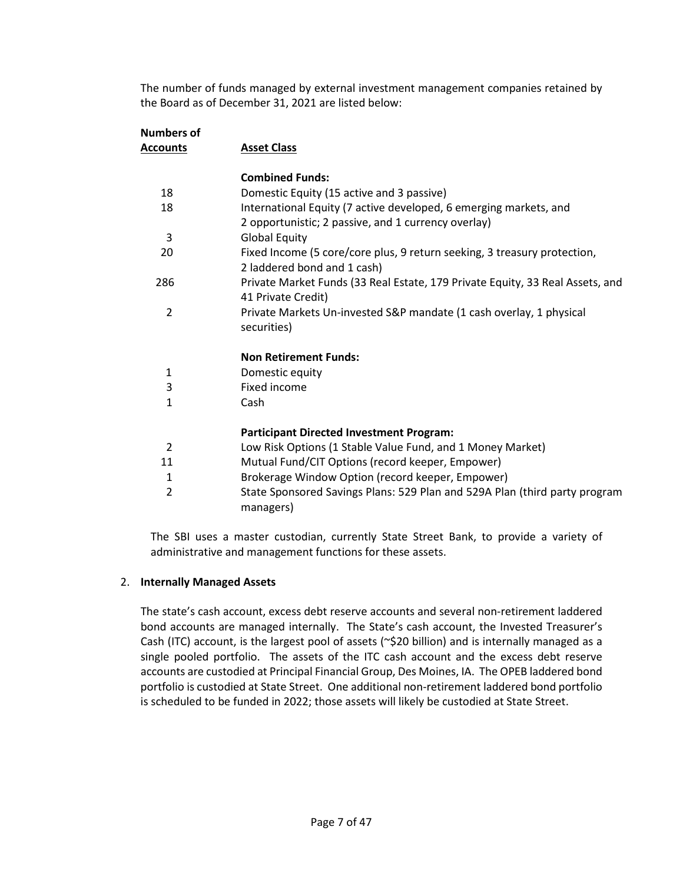The number of funds managed by external investment management companies retained by the Board as of December 31, 2021 are listed below:

| Numbers of     |                                                                                                                          |  |
|----------------|--------------------------------------------------------------------------------------------------------------------------|--|
| Accounts       | <b>Asset Class</b>                                                                                                       |  |
|                | <b>Combined Funds:</b>                                                                                                   |  |
| 18             | Domestic Equity (15 active and 3 passive)                                                                                |  |
| 18             | International Equity (7 active developed, 6 emerging markets, and<br>2 opportunistic; 2 passive, and 1 currency overlay) |  |
| 3              | <b>Global Equity</b>                                                                                                     |  |
| 20             | Fixed Income (5 core/core plus, 9 return seeking, 3 treasury protection,<br>2 laddered bond and 1 cash)                  |  |
| 286            | Private Market Funds (33 Real Estate, 179 Private Equity, 33 Real Assets, and<br>41 Private Credit)                      |  |
| $\overline{2}$ | Private Markets Un-invested S&P mandate (1 cash overlay, 1 physical<br>securities)                                       |  |
|                | <b>Non Retirement Funds:</b>                                                                                             |  |
| 1              | Domestic equity                                                                                                          |  |
| 3              | Fixed income                                                                                                             |  |
| 1              | Cash                                                                                                                     |  |
|                | <b>Participant Directed Investment Program:</b>                                                                          |  |
| $\overline{2}$ | Low Risk Options (1 Stable Value Fund, and 1 Money Market)                                                               |  |
| 11             | Mutual Fund/CIT Options (record keeper, Empower)                                                                         |  |
| 1              | Brokerage Window Option (record keeper, Empower)                                                                         |  |
| 2              | State Sponsored Savings Plans: 529 Plan and 529A Plan (third party program<br>managers)                                  |  |

The SBI uses a master custodian, currently State Street Bank, to provide a variety of administrative and management functions for these assets.

### 2. **Internally Managed Assets**

The state's cash account, excess debt reserve accounts and several non-retirement laddered bond accounts are managed internally. The State's cash account, the Invested Treasurer's Cash (ITC) account, is the largest pool of assets (~\$20 billion) and is internally managed as a single pooled portfolio. The assets of the ITC cash account and the excess debt reserve accounts are custodied at Principal Financial Group, Des Moines, IA. The OPEB laddered bond portfolio is custodied at State Street. One additional non-retirement laddered bond portfolio is scheduled to be funded in 2022; those assets will likely be custodied at State Street.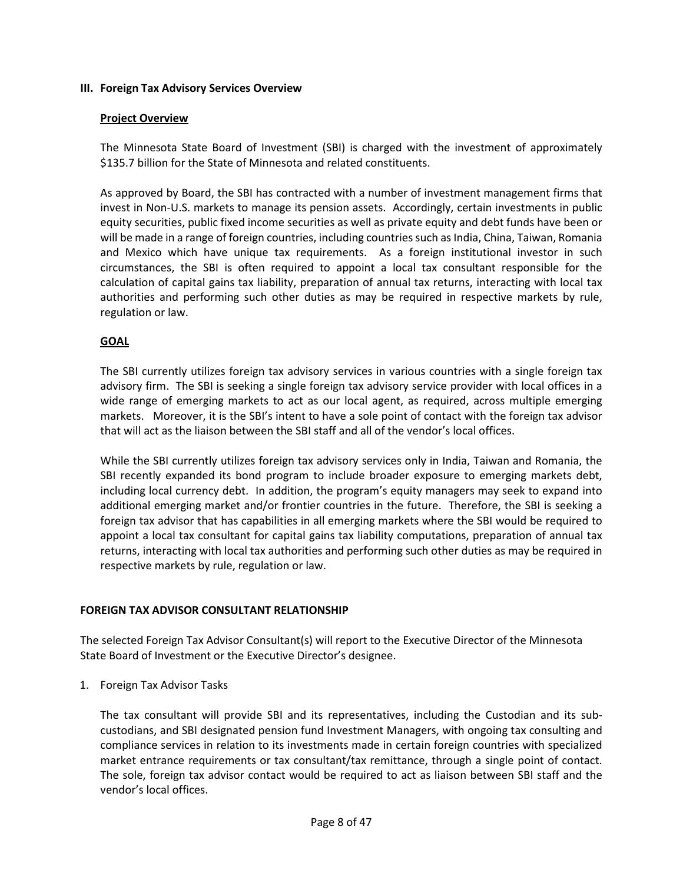### **III. Foreign Tax Advisory Services Overview**

#### **Project Overview**

The Minnesota State Board of Investment (SBI) is charged with the investment of approximately \$135.7 billion for the State of Minnesota and related constituents.

As approved by Board, the SBI has contracted with a number of investment management firms that invest in Non-U.S. markets to manage its pension assets. Accordingly, certain investments in public equity securities, public fixed income securities as well as private equity and debt funds have been or will be made in a range of foreign countries, including countries such as India, China, Taiwan, Romania and Mexico which have unique tax requirements. As a foreign institutional investor in such circumstances, the SBI is often required to appoint a local tax consultant responsible for the calculation of capital gains tax liability, preparation of annual tax returns, interacting with local tax authorities and performing such other duties as may be required in respective markets by rule, regulation or law.

### **GOAL**

The SBI currently utilizes foreign tax advisory services in various countries with a single foreign tax advisory firm. The SBI is seeking a single foreign tax advisory service provider with local offices in a wide range of emerging markets to act as our local agent, as required, across multiple emerging markets. Moreover, it is the SBI's intent to have a sole point of contact with the foreign tax advisor that will act as the liaison between the SBI staff and all of the vendor's local offices.

While the SBI currently utilizes foreign tax advisory services only in India, Taiwan and Romania, the SBI recently expanded its bond program to include broader exposure to emerging markets debt, including local currency debt. In addition, the program's equity managers may seek to expand into additional emerging market and/or frontier countries in the future. Therefore, the SBI is seeking a foreign tax advisor that has capabilities in all emerging markets where the SBI would be required to appoint a local tax consultant for capital gains tax liability computations, preparation of annual tax returns, interacting with local tax authorities and performing such other duties as may be required in respective markets by rule, regulation or law.

### **FOREIGN TAX ADVISOR CONSULTANT RELATIONSHIP**

The selected Foreign Tax Advisor Consultant(s) will report to the Executive Director of the Minnesota State Board of Investment or the Executive Director's designee.

1. Foreign Tax Advisor Tasks

The tax consultant will provide SBI and its representatives, including the Custodian and its subcustodians, and SBI designated pension fund Investment Managers, with ongoing tax consulting and compliance services in relation to its investments made in certain foreign countries with specialized market entrance requirements or tax consultant/tax remittance, through a single point of contact. The sole, foreign tax advisor contact would be required to act as liaison between SBI staff and the vendor's local offices.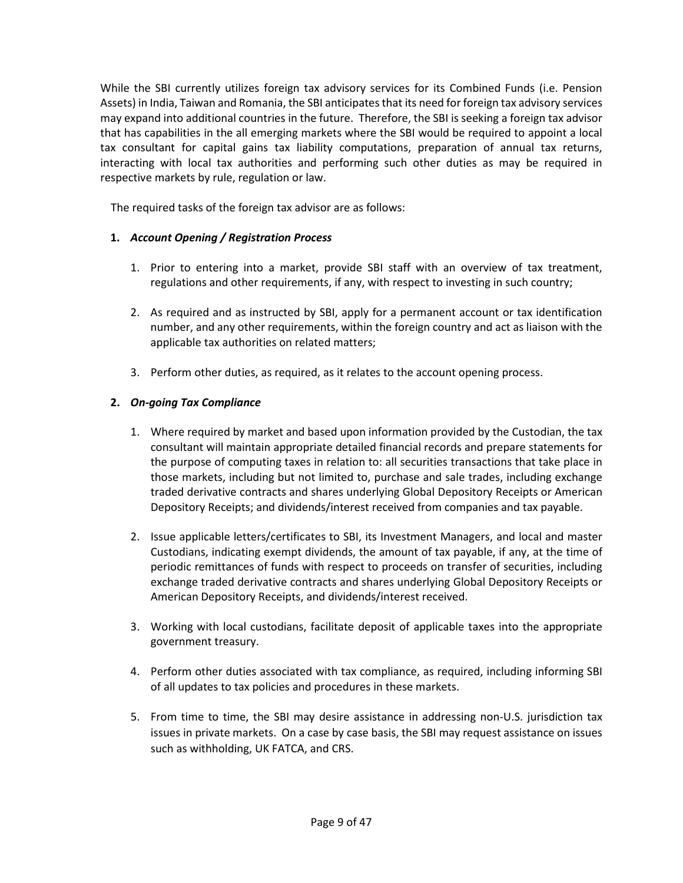While the SBI currently utilizes foreign tax advisory services for its Combined Funds (i.e. Pension Assets) in India, Taiwan and Romania, the SBI anticipates that its need for foreign tax advisory services may expand into additional countries in the future. Therefore, the SBI is seeking a foreign tax advisor that has capabilities in the all emerging markets where the SBI would be required to appoint a local tax consultant for capital gains tax liability computations, preparation of annual tax returns, interacting with local tax authorities and performing such other duties as may be required in respective markets by rule, regulation or law.

The required tasks of the foreign tax advisor are as follows:

### **1.** *Account Opening / Registration Process*

- 1. Prior to entering into a market, provide SBI staff with an overview of tax treatment, regulations and other requirements, if any, with respect to investing in such country;
- 2. As required and as instructed by SBI, apply for a permanent account or tax identification number, and any other requirements, within the foreign country and act as liaison with the applicable tax authorities on related matters;
- 3. Perform other duties, as required, as it relates to the account opening process.

### **2.** *On-going Tax Compliance*

- 1. Where required by market and based upon information provided by the Custodian, the tax consultant will maintain appropriate detailed financial records and prepare statements for the purpose of computing taxes in relation to: all securities transactions that take place in those markets, including but not limited to, purchase and sale trades, including exchange traded derivative contracts and shares underlying Global Depository Receipts or American Depository Receipts; and dividends/interest received from companies and tax payable.
- 2. Issue applicable letters/certificates to SBI, its Investment Managers, and local and master Custodians, indicating exempt dividends, the amount of tax payable, if any, at the time of periodic remittances of funds with respect to proceeds on transfer of securities, including exchange traded derivative contracts and shares underlying Global Depository Receipts or American Depository Receipts, and dividends/interest received.
- 3. Working with local custodians, facilitate deposit of applicable taxes into the appropriate government treasury.
- 4. Perform other duties associated with tax compliance, as required, including informing SBI of all updates to tax policies and procedures in these markets.
- 5. From time to time, the SBI may desire assistance in addressing non-U.S. jurisdiction tax issues in private markets. On a case by case basis, the SBI may request assistance on issues such as withholding, UK FATCA, and CRS.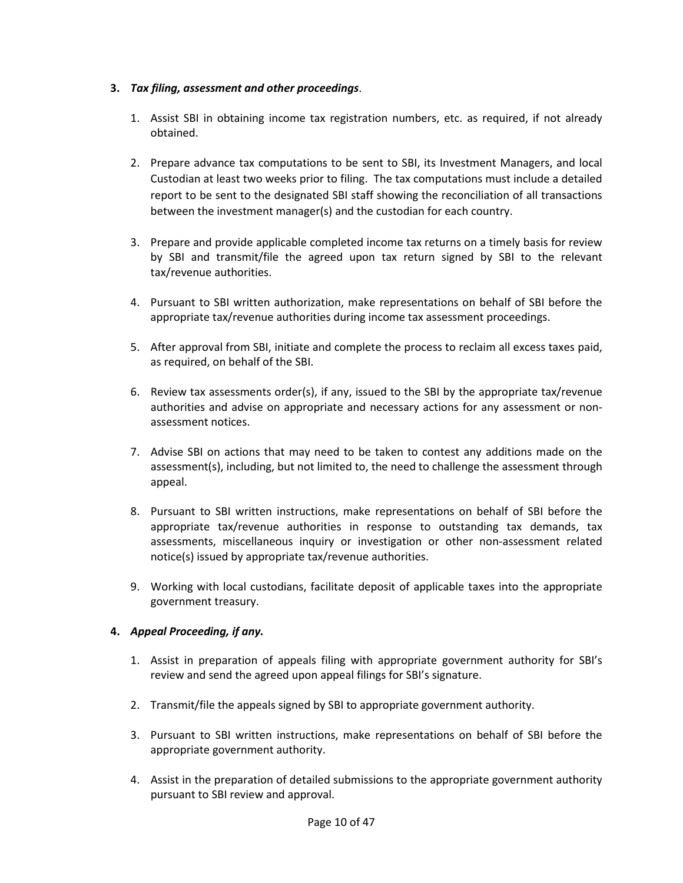### **3.** *Tax filing, assessment and other proceedings*.

- 1. Assist SBI in obtaining income tax registration numbers, etc. as required, if not already obtained.
- 2. Prepare advance tax computations to be sent to SBI, its Investment Managers, and local Custodian at least two weeks prior to filing. The tax computations must include a detailed report to be sent to the designated SBI staff showing the reconciliation of all transactions between the investment manager(s) and the custodian for each country.
- 3. Prepare and provide applicable completed income tax returns on a timely basis for review by SBI and transmit/file the agreed upon tax return signed by SBI to the relevant tax/revenue authorities.
- 4. Pursuant to SBI written authorization, make representations on behalf of SBI before the appropriate tax/revenue authorities during income tax assessment proceedings.
- 5. After approval from SBI, initiate and complete the process to reclaim all excess taxes paid, as required, on behalf of the SBI.
- 6. Review tax assessments order(s), if any, issued to the SBI by the appropriate tax/revenue authorities and advise on appropriate and necessary actions for any assessment or nonassessment notices.
- 7. Advise SBI on actions that may need to be taken to contest any additions made on the assessment(s), including, but not limited to, the need to challenge the assessment through appeal.
- 8. Pursuant to SBI written instructions, make representations on behalf of SBI before the appropriate tax/revenue authorities in response to outstanding tax demands, tax assessments, miscellaneous inquiry or investigation or other non-assessment related notice(s) issued by appropriate tax/revenue authorities.
- 9. Working with local custodians, facilitate deposit of applicable taxes into the appropriate government treasury.

### **4.** *Appeal Proceeding, if any.*

- 1. Assist in preparation of appeals filing with appropriate government authority for SBI's review and send the agreed upon appeal filings for SBI's signature.
- 2. Transmit/file the appeals signed by SBI to appropriate government authority.
- 3. Pursuant to SBI written instructions, make representations on behalf of SBI before the appropriate government authority.
- 4. Assist in the preparation of detailed submissions to the appropriate government authority pursuant to SBI review and approval.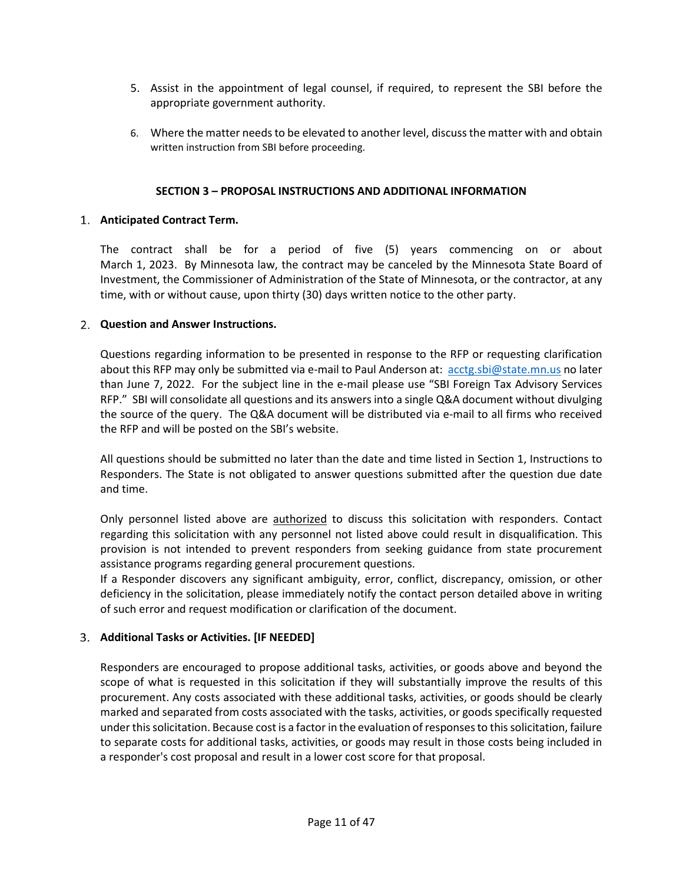- 5. Assist in the appointment of legal counsel, if required, to represent the SBI before the appropriate government authority.
- 6. Where the matter needs to be elevated to another level, discuss the matter with and obtain written instruction from SBI before proceeding.

### **SECTION 3 – PROPOSAL INSTRUCTIONS AND ADDITIONAL INFORMATION**

### **Anticipated Contract Term.**

The contract shall be for a period of five (5) years commencing on or about March 1, 2023. By Minnesota law, the contract may be canceled by the Minnesota State Board of Investment, the Commissioner of Administration of the State of Minnesota, or the contractor, at any time, with or without cause, upon thirty (30) days written notice to the other party.

### <span id="page-10-0"></span>**Question and Answer Instructions.**

Questions regarding information to be presented in response to the RFP or requesting clarification about this RFP may only be submitted via e-mail to Paul Anderson at: [acctg.sbi@state.mn.us](mailto:acctg.sbi@state.mn.us) no later than June 7, 2022. For the subject line in the e-mail please use "SBI Foreign Tax Advisory Services RFP." SBI will consolidate all questions and its answers into a single Q&A document without divulging the source of the query. The Q&A document will be distributed via e-mail to all firms who received the RFP and will be posted on the SBI's website.

All questions should be submitted no later than the date and time listed in Section 1, Instructions to Responders. The State is not obligated to answer questions submitted after the question due date and time.

Only personnel listed above are **authorized** to discuss this solicitation with responders. Contact regarding this solicitation with any personnel not listed above could result in disqualification. This provision is not intended to prevent responders from seeking guidance from state procurement assistance programs regarding general procurement questions.

If a Responder discovers any significant ambiguity, error, conflict, discrepancy, omission, or other deficiency in the solicitation, please immediately notify the contact person detailed above in writing of such error and request modification or clarification of the document.

### **Additional Tasks or Activities. [IF NEEDED]**

Responders are encouraged to propose additional tasks, activities, or goods above and beyond the scope of what is requested in this solicitation if they will substantially improve the results of this procurement. Any costs associated with these additional tasks, activities, or goods should be clearly marked and separated from costs associated with the tasks, activities, or goods specifically requested under this solicitation. Because cost is a factor in the evaluation of responses to this solicitation, failure to separate costs for additional tasks, activities, or goods may result in those costs being included in a responder's cost proposal and result in a lower cost score for that proposal.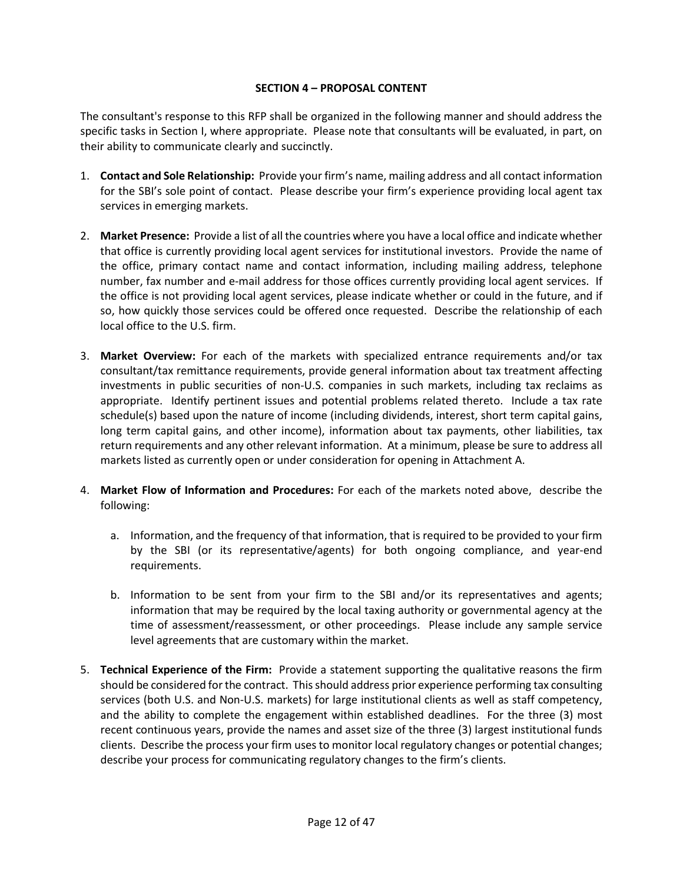### **SECTION 4 – PROPOSAL CONTENT**

<span id="page-11-0"></span>The consultant's response to this RFP shall be organized in the following manner and should address the specific tasks in Section I, where appropriate. Please note that consultants will be evaluated, in part, on their ability to communicate clearly and succinctly.

- 1. **Contact and Sole Relationship:** Provide your firm's name, mailing address and all contact information for the SBI's sole point of contact. Please describe your firm's experience providing local agent tax services in emerging markets.
- 2. **Market Presence:** Provide a list of all the countries where you have a local office and indicate whether that office is currently providing local agent services for institutional investors. Provide the name of the office, primary contact name and contact information, including mailing address, telephone number, fax number and e-mail address for those offices currently providing local agent services. If the office is not providing local agent services, please indicate whether or could in the future, and if so, how quickly those services could be offered once requested. Describe the relationship of each local office to the U.S. firm.
- 3. **Market Overview:** For each of the markets with specialized entrance requirements and/or tax consultant/tax remittance requirements, provide general information about tax treatment affecting investments in public securities of non-U.S. companies in such markets, including tax reclaims as appropriate. Identify pertinent issues and potential problems related thereto. Include a tax rate schedule(s) based upon the nature of income (including dividends, interest, short term capital gains, long term capital gains, and other income), information about tax payments, other liabilities, tax return requirements and any other relevant information. At a minimum, please be sure to address all markets listed as currently open or under consideration for opening in Attachment A.
- 4. **Market Flow of Information and Procedures:** For each of the markets noted above, describe the following:
	- a. Information, and the frequency of that information, that is required to be provided to your firm by the SBI (or its representative/agents) for both ongoing compliance, and year-end requirements.
	- b. Information to be sent from your firm to the SBI and/or its representatives and agents; information that may be required by the local taxing authority or governmental agency at the time of assessment/reassessment, or other proceedings. Please include any sample service level agreements that are customary within the market.
- 5. **Technical Experience of the Firm:** Provide a statement supporting the qualitative reasons the firm should be considered for the contract. This should address prior experience performing tax consulting services (both U.S. and Non-U.S. markets) for large institutional clients as well as staff competency, and the ability to complete the engagement within established deadlines. For the three (3) most recent continuous years, provide the names and asset size of the three (3) largest institutional funds clients. Describe the process your firm uses to monitor local regulatory changes or potential changes; describe your process for communicating regulatory changes to the firm's clients.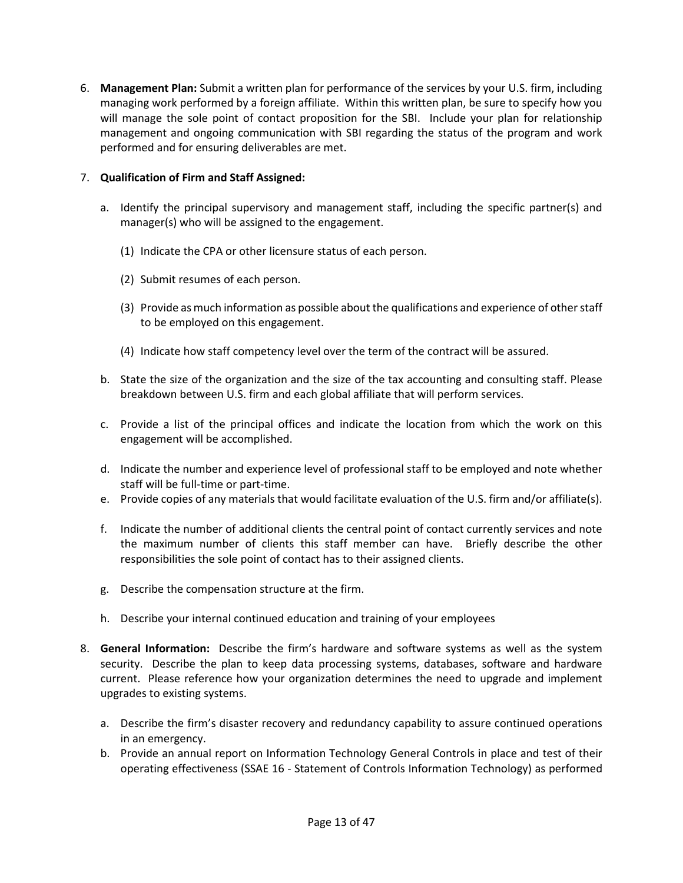6. **Management Plan:** Submit a written plan for performance of the services by your U.S. firm, including managing work performed by a foreign affiliate. Within this written plan, be sure to specify how you will manage the sole point of contact proposition for the SBI. Include your plan for relationship management and ongoing communication with SBI regarding the status of the program and work performed and for ensuring deliverables are met.

### 7. **Qualification of Firm and Staff Assigned:**

- a. Identify the principal supervisory and management staff, including the specific partner(s) and manager(s) who will be assigned to the engagement.
	- (1) Indicate the CPA or other licensure status of each person.
	- (2) Submit resumes of each person.
	- (3) Provide as much information as possible about the qualifications and experience of other staff to be employed on this engagement.
	- (4) Indicate how staff competency level over the term of the contract will be assured.
- b. State the size of the organization and the size of the tax accounting and consulting staff. Please breakdown between U.S. firm and each global affiliate that will perform services.
- c. Provide a list of the principal offices and indicate the location from which the work on this engagement will be accomplished.
- d. Indicate the number and experience level of professional staff to be employed and note whether staff will be full-time or part-time.
- e. Provide copies of any materials that would facilitate evaluation of the U.S. firm and/or affiliate(s).
- f. Indicate the number of additional clients the central point of contact currently services and note the maximum number of clients this staff member can have. Briefly describe the other responsibilities the sole point of contact has to their assigned clients.
- g. Describe the compensation structure at the firm.
- h. Describe your internal continued education and training of your employees
- 8. **General Information:** Describe the firm's hardware and software systems as well as the system security. Describe the plan to keep data processing systems, databases, software and hardware current. Please reference how your organization determines the need to upgrade and implement upgrades to existing systems.
	- a. Describe the firm's disaster recovery and redundancy capability to assure continued operations in an emergency.
	- b. Provide an annual report on Information Technology General Controls in place and test of their operating effectiveness (SSAE 16 - Statement of Controls Information Technology) as performed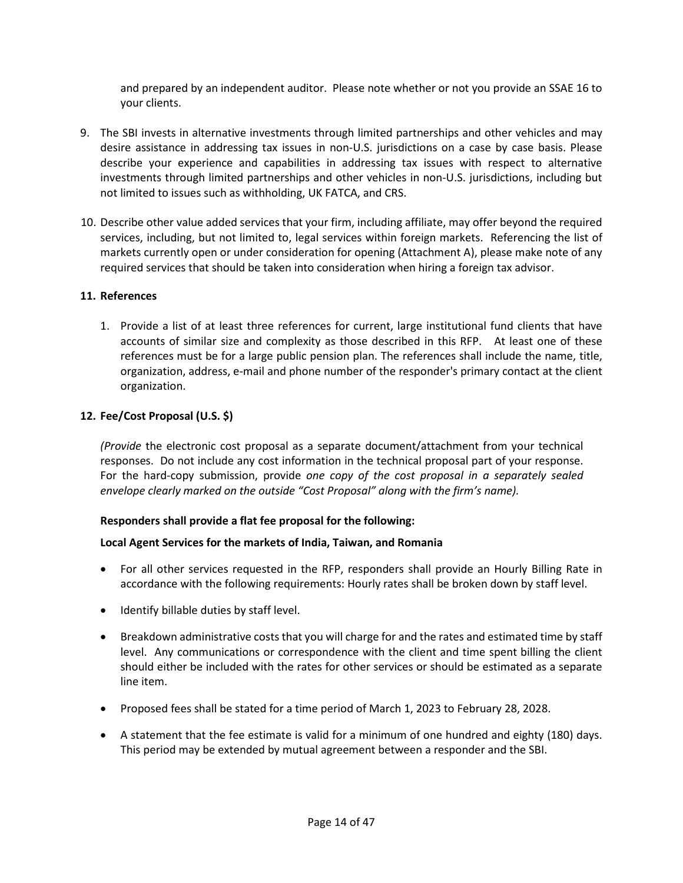and prepared by an independent auditor. Please note whether or not you provide an SSAE 16 to your clients.

- 9. The SBI invests in alternative investments through limited partnerships and other vehicles and may desire assistance in addressing tax issues in non-U.S. jurisdictions on a case by case basis. Please describe your experience and capabilities in addressing tax issues with respect to alternative investments through limited partnerships and other vehicles in non-U.S. jurisdictions, including but not limited to issues such as withholding, UK FATCA, and CRS.
- 10. Describe other value added services that your firm, including affiliate, may offer beyond the required services, including, but not limited to, legal services within foreign markets. Referencing the list of markets currently open or under consideration for opening (Attachment A), please make note of any required services that should be taken into consideration when hiring a foreign tax advisor.

### **11. References**

1. Provide a list of at least three references for current, large institutional fund clients that have accounts of similar size and complexity as those described in this RFP. At least one of these references must be for a large public pension plan. The references shall include the name, title, organization, address, e-mail and phone number of the responder's primary contact at the client organization.

### **12. Fee/Cost Proposal (U.S. \$)**

*(Provide* the electronic cost proposal as a separate document/attachment from your technical responses. Do not include any cost information in the technical proposal part of your response. For the hard-copy submission, provide *one copy of the cost proposal in a separately sealed envelope clearly marked on the outside "Cost Proposal" along with the firm's name).*

### **Responders shall provide a flat fee proposal for the following:**

### **Local Agent Services for the markets of India, Taiwan, and Romania**

- For all other services requested in the RFP, responders shall provide an Hourly Billing Rate in accordance with the following requirements: Hourly rates shall be broken down by staff level.
- Identify billable duties by staff level.
- Breakdown administrative costs that you will charge for and the rates and estimated time by staff level. Any communications or correspondence with the client and time spent billing the client should either be included with the rates for other services or should be estimated as a separate line item.
- Proposed fees shall be stated for a time period of March 1, 2023 to February 28, 2028.
- A statement that the fee estimate is valid for a minimum of one hundred and eighty (180) days. This period may be extended by mutual agreement between a responder and the SBI.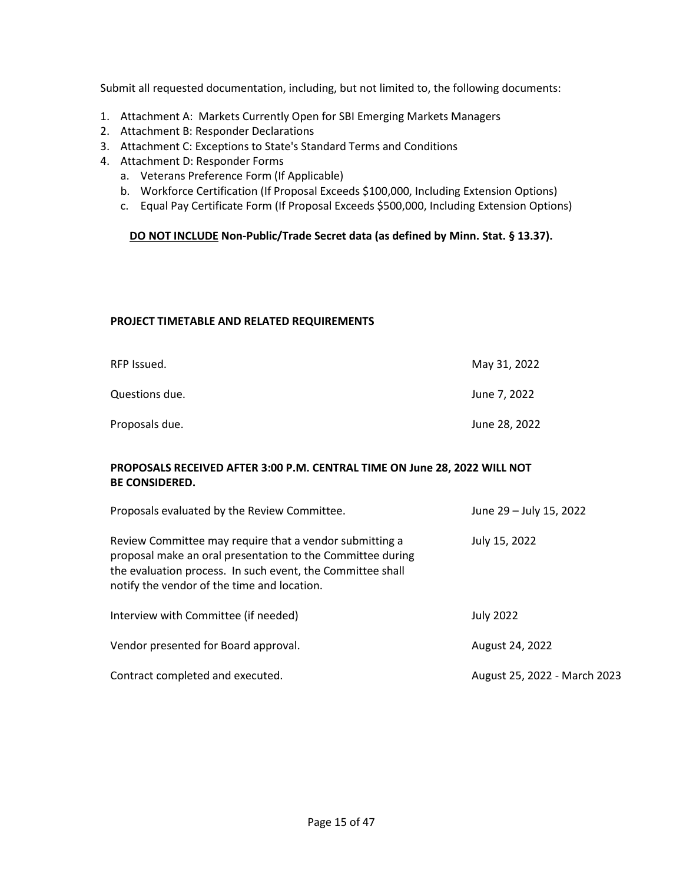Submit all requested documentation, including, but not limited to, the following documents:

- 1. Attachment A: Markets Currently Open for SBI Emerging Markets Managers
- 2. Attachment B: Responder Declarations
- 3. Attachment C: Exceptions to State's Standard Terms and Conditions
- 4. Attachment D: Responder Forms
	- a. Veterans Preference Form (If Applicable)
	- b. Workforce Certification (If Proposal Exceeds \$100,000, Including Extension Options)
	- c. Equal Pay Certificate Form (If Proposal Exceeds \$500,000, Including Extension Options)

### **DO NOT INCLUDE Non-Public/Trade Secret data (as defined by Minn. Stat. § 13.37).**

### **PROJECT TIMETABLE AND RELATED REQUIREMENTS**

| RFP Issued.    | May 31, 2022  |
|----------------|---------------|
| Questions due. | June 7, 2022  |
| Proposals due. | June 28, 2022 |

### **PROPOSALS RECEIVED AFTER 3:00 P.M. CENTRAL TIME ON June 28, 2022 WILL NOT BE CONSIDERED.**

| Proposals evaluated by the Review Committee.                                                                                                                                                                                       | June 29 - July 15, 2022      |
|------------------------------------------------------------------------------------------------------------------------------------------------------------------------------------------------------------------------------------|------------------------------|
| Review Committee may require that a vendor submitting a<br>proposal make an oral presentation to the Committee during<br>the evaluation process. In such event, the Committee shall<br>notify the vendor of the time and location. | July 15, 2022                |
| Interview with Committee (if needed)                                                                                                                                                                                               | <b>July 2022</b>             |
| Vendor presented for Board approval.                                                                                                                                                                                               | August 24, 2022              |
| Contract completed and executed.                                                                                                                                                                                                   | August 25, 2022 - March 2023 |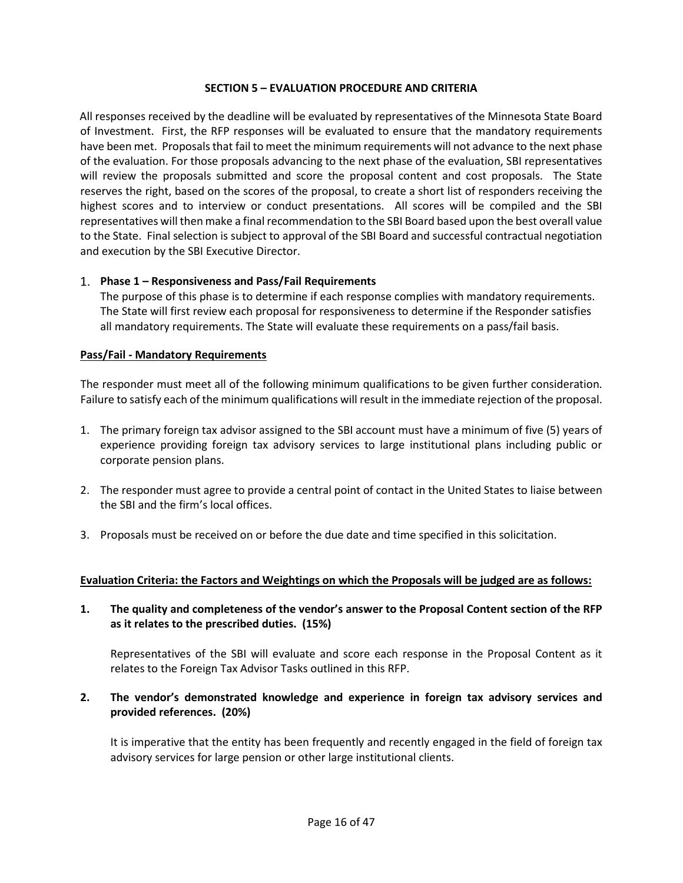#### **SECTION 5 – EVALUATION PROCEDURE AND CRITERIA**

<span id="page-15-0"></span>All responses received by the deadline will be evaluated by representatives of the Minnesota State Board of Investment. First, the RFP responses will be evaluated to ensure that the mandatory requirements have been met. Proposals that fail to meet the minimum requirements will not advance to the next phase of the evaluation. For those proposals advancing to the next phase of the evaluation, SBI representatives will review the proposals submitted and score the proposal content and cost proposals. The State reserves the right, based on the scores of the proposal, to create a short list of responders receiving the highest scores and to interview or conduct presentations. All scores will be compiled and the SBI representatives will then make a final recommendation to the SBI Board based upon the best overall value to the State. Final selection is subject to approval of the SBI Board and successful contractual negotiation and execution by the SBI Executive Director.

### **Phase 1 – Responsiveness and Pass/Fail Requirements**

The purpose of this phase is to determine if each response complies with mandatory requirements. The State will first review each proposal for responsiveness to determine if the Responder satisfies all mandatory requirements. The State will evaluate these requirements on a pass/fail basis.

#### **Pass/Fail - Mandatory Requirements**

The responder must meet all of the following minimum qualifications to be given further consideration. Failure to satisfy each of the minimum qualifications will result in the immediate rejection of the proposal.

- 1. The primary foreign tax advisor assigned to the SBI account must have a minimum of five (5) years of experience providing foreign tax advisory services to large institutional plans including public or corporate pension plans.
- 2. The responder must agree to provide a central point of contact in the United States to liaise between the SBI and the firm's local offices.
- 3. Proposals must be received on or before the due date and time specified in this solicitation.

### **Evaluation Criteria: the Factors and Weightings on which the Proposals will be judged are as follows:**

**1. The quality and completeness of the vendor's answer to the Proposal Content section of the RFP as it relates to the prescribed duties. (15%)**

Representatives of the SBI will evaluate and score each response in the Proposal Content as it relates to the Foreign Tax Advisor Tasks outlined in this RFP.

**2. The vendor's demonstrated knowledge and experience in foreign tax advisory services and provided references. (20%)**

It is imperative that the entity has been frequently and recently engaged in the field of foreign tax advisory services for large pension or other large institutional clients.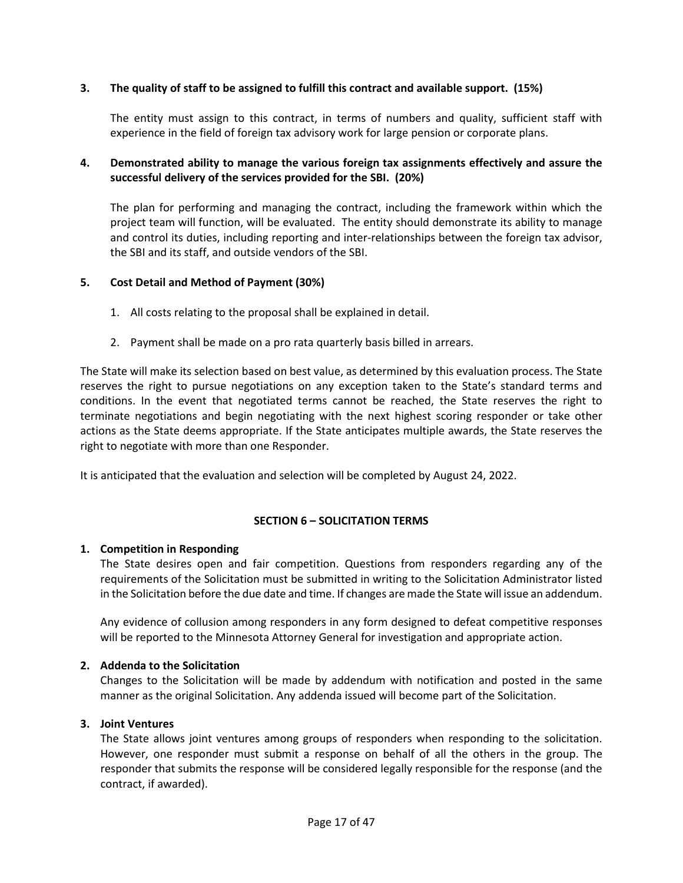### **3. The quality of staff to be assigned to fulfill this contract and available support. (15%)**

The entity must assign to this contract, in terms of numbers and quality, sufficient staff with experience in the field of foreign tax advisory work for large pension or corporate plans.

### **4. Demonstrated ability to manage the various foreign tax assignments effectively and assure the successful delivery of the services provided for the SBI. (20%)**

The plan for performing and managing the contract, including the framework within which the project team will function, will be evaluated. The entity should demonstrate its ability to manage and control its duties, including reporting and inter-relationships between the foreign tax advisor, the SBI and its staff, and outside vendors of the SBI.

### **5. Cost Detail and Method of Payment (30%)**

- 1. All costs relating to the proposal shall be explained in detail.
- 2. Payment shall be made on a pro rata quarterly basis billed in arrears.

The State will make its selection based on best value, as determined by this evaluation process. The State reserves the right to pursue negotiations on any exception taken to the State's standard terms and conditions. In the event that negotiated terms cannot be reached, the State reserves the right to terminate negotiations and begin negotiating with the next highest scoring responder or take other actions as the State deems appropriate. If the State anticipates multiple awards, the State reserves the right to negotiate with more than one Responder.

It is anticipated that the evaluation and selection will be completed by August 24, 2022.

### **SECTION 6 – SOLICITATION TERMS**

### <span id="page-16-0"></span>**1. Competition in Responding**

The State desires open and fair competition. Questions from responders regarding any of the requirements of the Solicitation must be submitted in writing to the Solicitation Administrator listed in the Solicitation before the due date and time. If changes are made the State will issue an addendum.

Any evidence of collusion among responders in any form designed to defeat competitive responses will be reported to the Minnesota Attorney General for investigation and appropriate action.

### **2. Addenda to the Solicitation**

Changes to the Solicitation will be made by addendum with notification and posted in the same manner as the original Solicitation. Any addenda issued will become part of the Solicitation.

### **3. Joint Ventures**

The State allows joint ventures among groups of responders when responding to the solicitation. However, one responder must submit a response on behalf of all the others in the group. The responder that submits the response will be considered legally responsible for the response (and the contract, if awarded).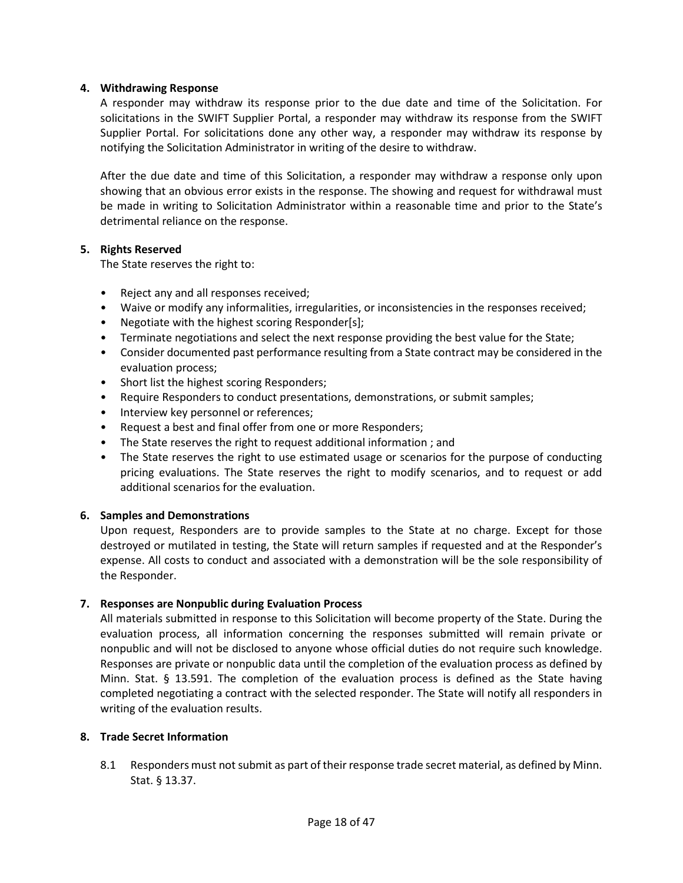### **4. Withdrawing Response**

A responder may withdraw its response prior to the due date and time of the Solicitation. For solicitations in the SWIFT Supplier Portal, a responder may withdraw its response from the SWIFT Supplier Portal. For solicitations done any other way, a responder may withdraw its response by notifying the Solicitation Administrator in writing of the desire to withdraw.

After the due date and time of this Solicitation, a responder may withdraw a response only upon showing that an obvious error exists in the response. The showing and request for withdrawal must be made in writing to Solicitation Administrator within a reasonable time and prior to the State's detrimental reliance on the response.

### **5. Rights Reserved**

The State reserves the right to:

- Reject any and all responses received;
- Waive or modify any informalities, irregularities, or inconsistencies in the responses received;
- Negotiate with the highest scoring Responder[s];
- Terminate negotiations and select the next response providing the best value for the State;
- Consider documented past performance resulting from a State contract may be considered in the evaluation process;
- Short list the highest scoring Responders;
- Require Responders to conduct presentations, demonstrations, or submit samples;
- Interview key personnel or references;
- Request a best and final offer from one or more Responders;
- The State reserves the right to request additional information ; and
- The State reserves the right to use estimated usage or scenarios for the purpose of conducting pricing evaluations. The State reserves the right to modify scenarios, and to request or add additional scenarios for the evaluation.

### **6. Samples and Demonstrations**

Upon request, Responders are to provide samples to the State at no charge. Except for those destroyed or mutilated in testing, the State will return samples if requested and at the Responder's expense. All costs to conduct and associated with a demonstration will be the sole responsibility of the Responder.

### **7. Responses are Nonpublic during Evaluation Process**

All materials submitted in response to this Solicitation will become property of the State. During the evaluation process, all information concerning the responses submitted will remain private or nonpublic and will not be disclosed to anyone whose official duties do not require such knowledge. Responses are private or nonpublic data until the completion of the evaluation process as defined by Minn. Stat. § 13.591. The completion of the evaluation process is defined as the State having completed negotiating a contract with the selected responder. The State will notify all responders in writing of the evaluation results.

### **8. Trade Secret Information**

8.1 Responders must not submit as part of their response trade secret material, as defined by Minn. Stat. § 13.37.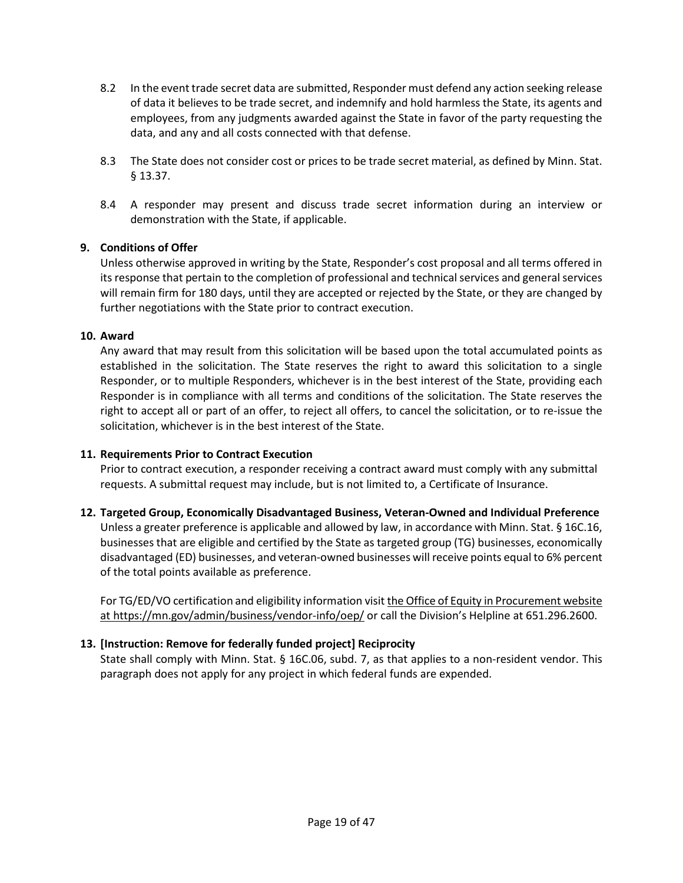- 8.2 In the event trade secret data are submitted, Responder must defend any action seeking release of data it believes to be trade secret, and indemnify and hold harmless the State, its agents and employees, from any judgments awarded against the State in favor of the party requesting the data, and any and all costs connected with that defense.
- 8.3 The State does not consider cost or prices to be trade secret material, as defined by Minn. Stat. § 13.37.
- 8.4 A responder may present and discuss trade secret information during an interview or demonstration with the State, if applicable.

### **9. Conditions of Offer**

Unless otherwise approved in writing by the State, Responder's cost proposal and all terms offered in its response that pertain to the completion of professional and technical services and general services will remain firm for 180 days, until they are accepted or rejected by the State, or they are changed by further negotiations with the State prior to contract execution.

### **10. Award**

Any award that may result from this solicitation will be based upon the total accumulated points as established in the solicitation. The State reserves the right to award this solicitation to a single Responder, or to multiple Responders, whichever is in the best interest of the State, providing each Responder is in compliance with all terms and conditions of the solicitation. The State reserves the right to accept all or part of an offer, to reject all offers, to cancel the solicitation, or to re-issue the solicitation, whichever is in the best interest of the State.

### **11. Requirements Prior to Contract Execution**

Prior to contract execution, a responder receiving a contract award must comply with any submittal requests. A submittal request may include, but is not limited to, a Certificate of Insurance.

### **12. Targeted Group, Economically Disadvantaged Business, Veteran-Owned and Individual Preference**

Unless a greater preference is applicable and allowed by law, in accordance with Minn. Stat. § 16C.16, businesses that are eligible and certified by the State as targeted group (TG) businesses, economically disadvantaged (ED) businesses, and veteran-owned businesses will receive points equal to 6% percent of the total points available as preference.

For TG/ED/VO certification and eligibility information visi[t the Office of Equity in Procurement website](https://mn.gov/admin/business/vendor-info/oep/)  [at https://mn.gov/admin/business/vendor-info/oep/](https://mn.gov/admin/business/vendor-info/oep/) or call the Division's Helpline at 651.296.2600.

### **13. [Instruction: Remove for federally funded project] Reciprocity**

State shall comply with Minn. Stat. § 16C.06, subd. 7, as that applies to a non-resident vendor. This paragraph does not apply for any project in which federal funds are expended.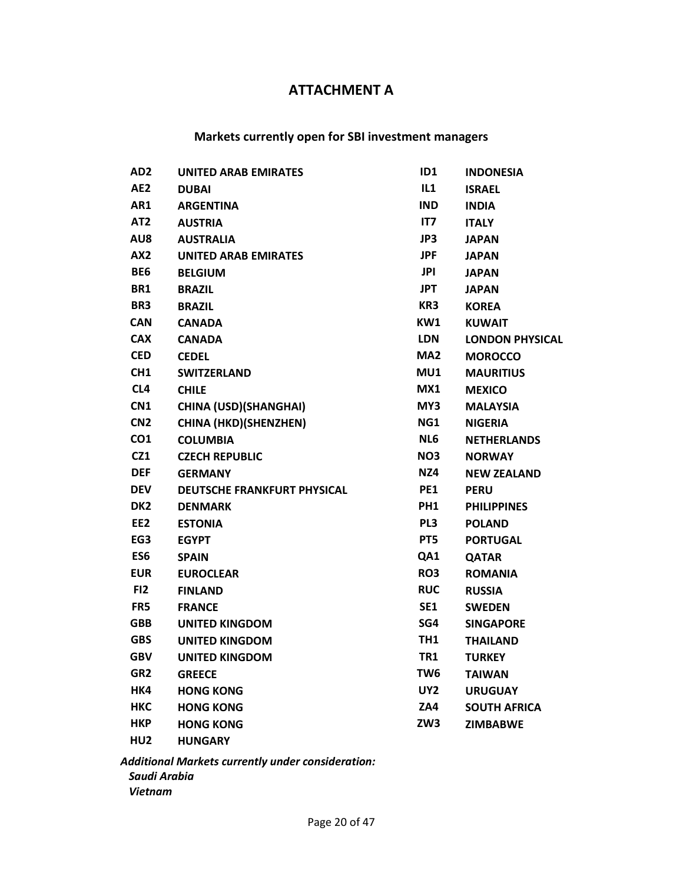## **ATTACHMENT A**

### **Markets currently open for SBI investment managers**

| AD <sub>2</sub> | <b>UNITED ARAB EMIRATES</b>  | ID1        | <b>INDONESIA</b>       |
|-----------------|------------------------------|------------|------------------------|
| AE <sub>2</sub> | <b>DUBAI</b>                 | IL1        | <b>ISRAEL</b>          |
| AR1             | <b>ARGENTINA</b>             | <b>IND</b> | <b>INDIA</b>           |
| AT <sub>2</sub> | <b>AUSTRIA</b>               | IT7        | <b>ITALY</b>           |
| AU8             | <b>AUSTRALIA</b>             | JP3        | <b>JAPAN</b>           |
| AX2             | <b>UNITED ARAB EMIRATES</b>  | <b>JPF</b> | <b>JAPAN</b>           |
| BE6             | <b>BELGIUM</b>               | JPI        | <b>JAPAN</b>           |
| BR1             | <b>BRAZIL</b>                | <b>JPT</b> | <b>JAPAN</b>           |
| BR3             | <b>BRAZIL</b>                | KR3        | <b>KOREA</b>           |
| <b>CAN</b>      | <b>CANADA</b>                | KW1        | <b>KUWAIT</b>          |
| <b>CAX</b>      | <b>CANADA</b>                | <b>LDN</b> | <b>LONDON PHYSICAL</b> |
| <b>CED</b>      | <b>CEDEL</b>                 | MA2        | <b>MOROCCO</b>         |
| CH <sub>1</sub> | <b>SWITZERLAND</b>           | MU1        | <b>MAURITIUS</b>       |
| CL4             | <b>CHILE</b>                 | MX1        | <b>MEXICO</b>          |
| CN <sub>1</sub> | <b>CHINA (USD)(SHANGHAI)</b> | MY3        | <b>MALAYSIA</b>        |
| CN <sub>2</sub> | <b>CHINA (HKD)(SHENZHEN)</b> | NG1        | <b>NIGERIA</b>         |
| CO <sub>1</sub> | <b>COLUMBIA</b>              | NL6        | <b>NETHERLANDS</b>     |
| CZ1             | <b>CZECH REPUBLIC</b>        | NO3        | <b>NORWAY</b>          |
| <b>DEF</b>      | <b>GERMANY</b>               | NZ4        | <b>NEW ZEALAND</b>     |
| <b>DEV</b>      | DEUTSCHE FRANKFURT PHYSICAL  | PE1        | <b>PERU</b>            |
| DK <sub>2</sub> | <b>DENMARK</b>               | PH1        | <b>PHILIPPINES</b>     |
| EE <sub>2</sub> | <b>ESTONIA</b>               | PL3        | <b>POLAND</b>          |
| EG3             | <b>EGYPT</b>                 | PT5        | <b>PORTUGAL</b>        |
| ES <sub>6</sub> | <b>SPAIN</b>                 | QA1        | <b>QATAR</b>           |
| <b>EUR</b>      | <b>EUROCLEAR</b>             | RO3        | <b>ROMANIA</b>         |
| FI2             | <b>FINLAND</b>               | <b>RUC</b> | <b>RUSSIA</b>          |
| FR5             | <b>FRANCE</b>                | SE1        | <b>SWEDEN</b>          |
| <b>GBB</b>      | UNITED KINGDOM               | SG4        | <b>SINGAPORE</b>       |
| <b>GBS</b>      | <b>UNITED KINGDOM</b>        | TH1        | <b>THAILAND</b>        |
| <b>GBV</b>      | <b>UNITED KINGDOM</b>        | TR1        | <b>TURKEY</b>          |
| GR <sub>2</sub> | <b>GREECE</b>                | TW6        | <b>TAIWAN</b>          |
| HK4             | <b>HONG KONG</b>             | UY2        | <b>URUGUAY</b>         |
| <b>HKC</b>      | <b>HONG KONG</b>             | ZA4        | <b>SOUTH AFRICA</b>    |
| <b>HKP</b>      | <b>HONG KONG</b>             | ZW3        | <b>ZIMBABWE</b>        |
| HU <sub>2</sub> | <b>HUNGARY</b>               |            |                        |

*Additional Markets currently under consideration: Saudi Arabia Vietnam*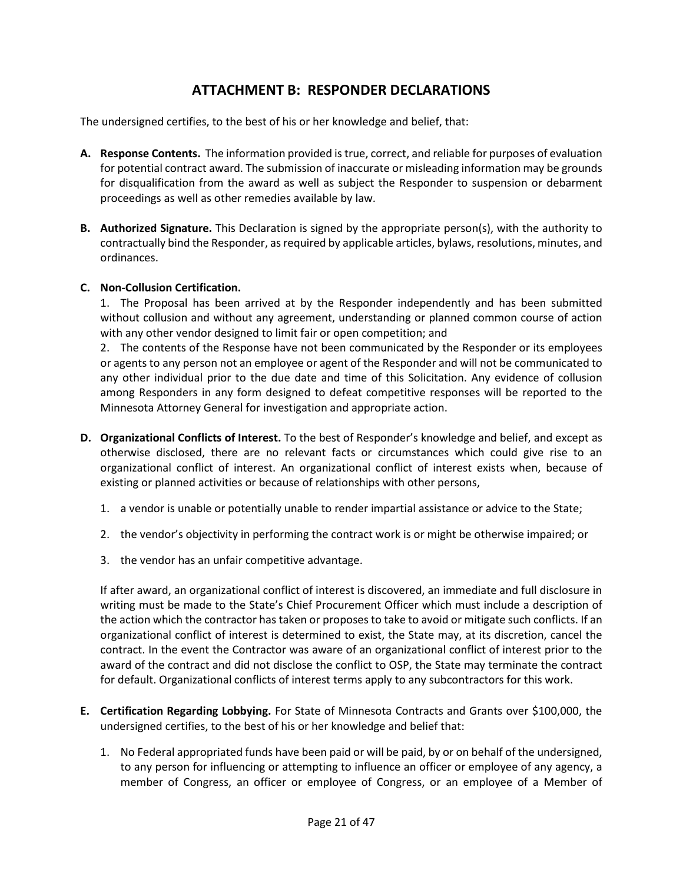## **ATTACHMENT B: RESPONDER DECLARATIONS**

The undersigned certifies, to the best of his or her knowledge and belief, that:

- **A. Response Contents.** The information provided is true, correct, and reliable for purposes of evaluation for potential contract award. The submission of inaccurate or misleading information may be grounds for disqualification from the award as well as subject the Responder to suspension or debarment proceedings as well as other remedies available by law.
- **B. Authorized Signature.** This Declaration is signed by the appropriate person(s), with the authority to contractually bind the Responder, as required by applicable articles, bylaws, resolutions, minutes, and ordinances.

### **C. Non-Collusion Certification.**

1. The Proposal has been arrived at by the Responder independently and has been submitted without collusion and without any agreement, understanding or planned common course of action with any other vendor designed to limit fair or open competition; and

2. The contents of the Response have not been communicated by the Responder or its employees or agents to any person not an employee or agent of the Responder and will not be communicated to any other individual prior to the due date and time of this Solicitation. Any evidence of collusion among Responders in any form designed to defeat competitive responses will be reported to the Minnesota Attorney General for investigation and appropriate action.

- **D. Organizational Conflicts of Interest.** To the best of Responder's knowledge and belief, and except as otherwise disclosed, there are no relevant facts or circumstances which could give rise to an organizational conflict of interest. An organizational conflict of interest exists when, because of existing or planned activities or because of relationships with other persons,
	- 1. a vendor is unable or potentially unable to render impartial assistance or advice to the State;
	- 2. the vendor's objectivity in performing the contract work is or might be otherwise impaired; or
	- 3. the vendor has an unfair competitive advantage.

If after award, an organizational conflict of interest is discovered, an immediate and full disclosure in writing must be made to the State's Chief Procurement Officer which must include a description of the action which the contractor has taken or proposes to take to avoid or mitigate such conflicts. If an organizational conflict of interest is determined to exist, the State may, at its discretion, cancel the contract. In the event the Contractor was aware of an organizational conflict of interest prior to the award of the contract and did not disclose the conflict to OSP, the State may terminate the contract for default. Organizational conflicts of interest terms apply to any subcontractors for this work.

- **E. Certification Regarding Lobbying.** For State of Minnesota Contracts and Grants over \$100,000, the undersigned certifies, to the best of his or her knowledge and belief that:
	- 1. No Federal appropriated funds have been paid or will be paid, by or on behalf of the undersigned, to any person for influencing or attempting to influence an officer or employee of any agency, a member of Congress, an officer or employee of Congress, or an employee of a Member of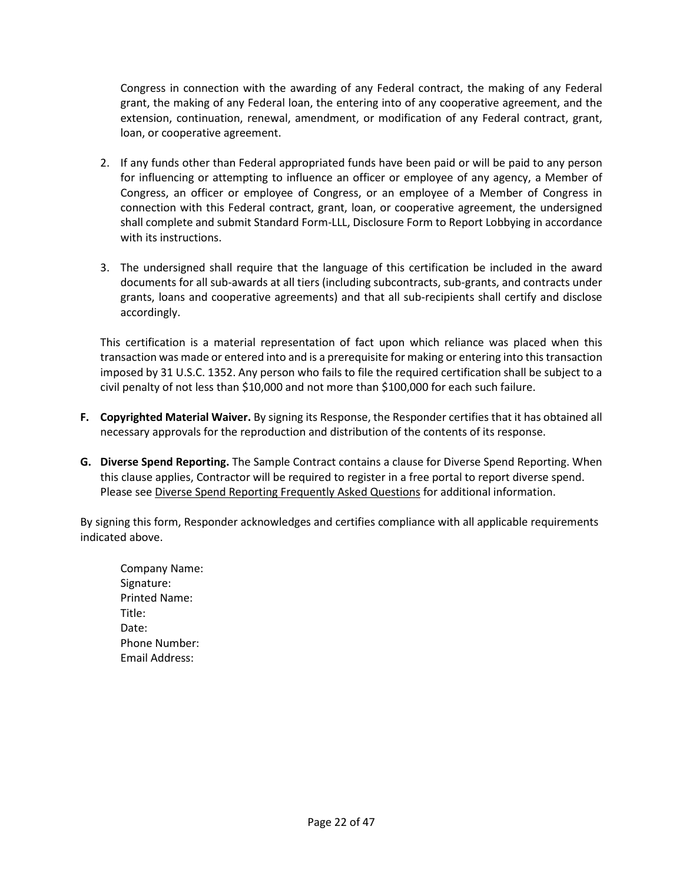Congress in connection with the awarding of any Federal contract, the making of any Federal grant, the making of any Federal loan, the entering into of any cooperative agreement, and the extension, continuation, renewal, amendment, or modification of any Federal contract, grant, loan, or cooperative agreement.

- 2. If any funds other than Federal appropriated funds have been paid or will be paid to any person for influencing or attempting to influence an officer or employee of any agency, a Member of Congress, an officer or employee of Congress, or an employee of a Member of Congress in connection with this Federal contract, grant, loan, or cooperative agreement, the undersigned shall complete and submit Standard Form-LLL, Disclosure Form to Report Lobbying in accordance with its instructions.
- 3. The undersigned shall require that the language of this certification be included in the award documents for all sub-awards at all tiers (including subcontracts, sub-grants, and contracts under grants, loans and cooperative agreements) and that all sub-recipients shall certify and disclose accordingly.

This certification is a material representation of fact upon which reliance was placed when this transaction was made or entered into and is a prerequisite for making or entering into this transaction imposed by 31 U.S.C. 1352. Any person who fails to file the required certification shall be subject to a civil penalty of not less than \$10,000 and not more than \$100,000 for each such failure.

- **F. Copyrighted Material Waiver.** By signing its Response, the Responder certifies that it has obtained all necessary approvals for the reproduction and distribution of the contents of its response.
- **G. Diverse Spend Reporting.** The Sample Contract contains a clause for Diverse Spend Reporting. When this clause applies, Contractor will be required to register in a free portal to report diverse spend. Please see [Diverse Spend Reporting Frequently Asked Questions](https://mn.gov/admin/assets/Diverse%20Spend%20Reporting%20FAQ_tcm36-394274.pdf) for additional information.

By signing this form, Responder acknowledges and certifies compliance with all applicable requirements indicated above.

Company Name: Signature: Printed Name: Title: Date: Phone Number: Email Address: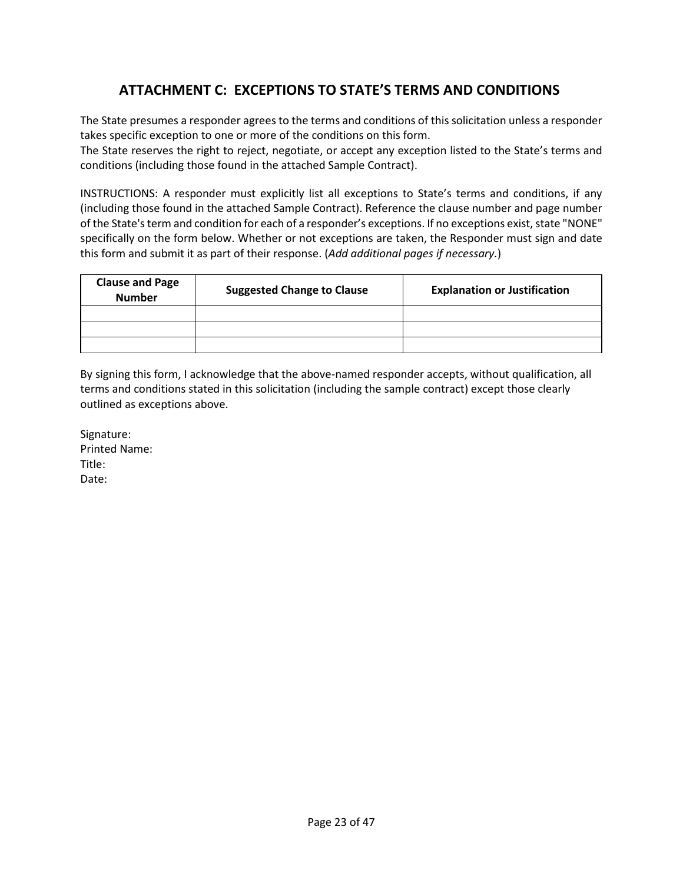# **ATTACHMENT C: EXCEPTIONS TO STATE'S TERMS AND CONDITIONS**

The State presumes a responder agrees to the terms and conditions of this solicitation unless a responder takes specific exception to one or more of the conditions on this form.

The State reserves the right to reject, negotiate, or accept any exception listed to the State's terms and conditions (including those found in the attached Sample Contract).

INSTRUCTIONS: A responder must explicitly list all exceptions to State's terms and conditions, if any (including those found in the attached Sample Contract). Reference the clause number and page number of the State's term and condition for each of a responder's exceptions. If no exceptions exist, state "NONE" specifically on the form below. Whether or not exceptions are taken, the Responder must sign and date this form and submit it as part of their response. (*Add additional pages if necessary.*)

| <b>Clause and Page</b><br><b>Number</b> | <b>Suggested Change to Clause</b> | <b>Explanation or Justification</b> |
|-----------------------------------------|-----------------------------------|-------------------------------------|
|                                         |                                   |                                     |
|                                         |                                   |                                     |
|                                         |                                   |                                     |

By signing this form, I acknowledge that the above-named responder accepts, without qualification, all terms and conditions stated in this solicitation (including the sample contract) except those clearly outlined as exceptions above.

Signature: Printed Name: Title: Date: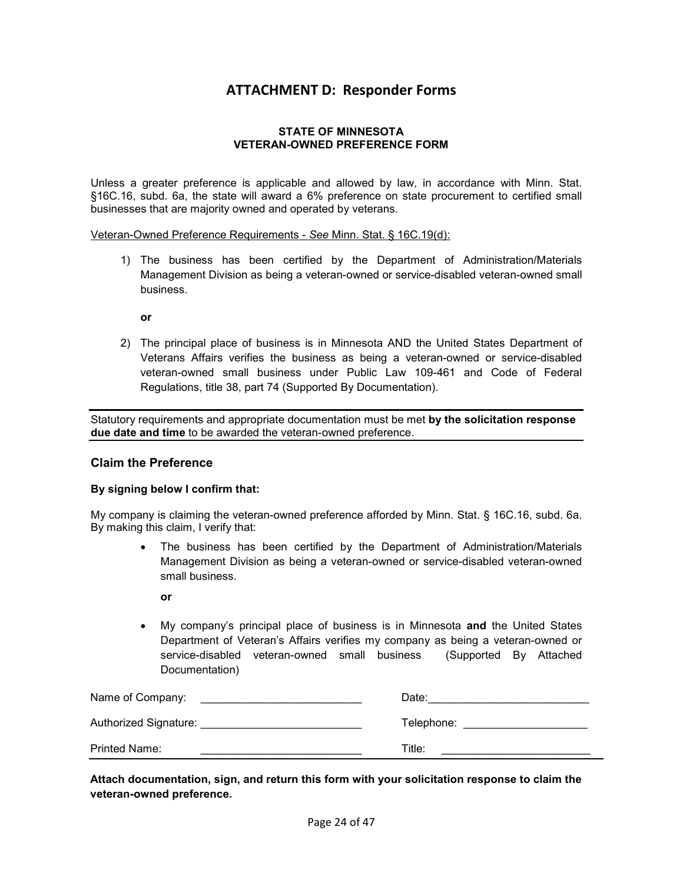### **ATTACHMENT D: Responder Forms**

#### **STATE OF MINNESOTA VETERAN-OWNED PREFERENCE FORM**

Unless a greater preference is applicable and allowed by law, in accordance with Minn. Stat. §16C.16, subd. 6a, the state will award a 6% preference on state procurement to certified small businesses that are majority owned and operated by veterans.

Veteran-Owned Preference Requirements - *See* Minn. Stat. § 16C.19(d):

1) The business has been certified by the Department of Administration/Materials Management Division as being a veteran-owned or service-disabled veteran-owned small business.

**or**

2) The principal place of business is in Minnesota AND the United States Department of Veterans Affairs verifies the business as being a veteran-owned or service-disabled veteran-owned small business under Public Law 109-461 and Code of Federal Regulations, title 38, part 74 (Supported By Documentation).

Statutory requirements and appropriate documentation must be met **by the solicitation response due date and time** to be awarded the veteran-owned preference.

### **Claim the Preference**

#### **By signing below I confirm that:**

My company is claiming the veteran-owned preference afforded by Minn. Stat. § 16C.16, subd. 6a. By making this claim, I verify that:

- The business has been certified by the Department of Administration/Materials Management Division as being a veteran-owned or service-disabled veteran-owned small business.
	- **or**
- My company's principal place of business is in Minnesota **and** the United States Department of Veteran's Affairs verifies my company as being a veteran-owned or service-disabled veteran-owned small business (Supported By Attached Documentation)

| Name of Company:      | Date:      |
|-----------------------|------------|
| Authorized Signature: | Telephone: |
| Printed Name:         | Title:     |

**Attach documentation, sign, and return this form with your solicitation response to claim the veteran-owned preference.**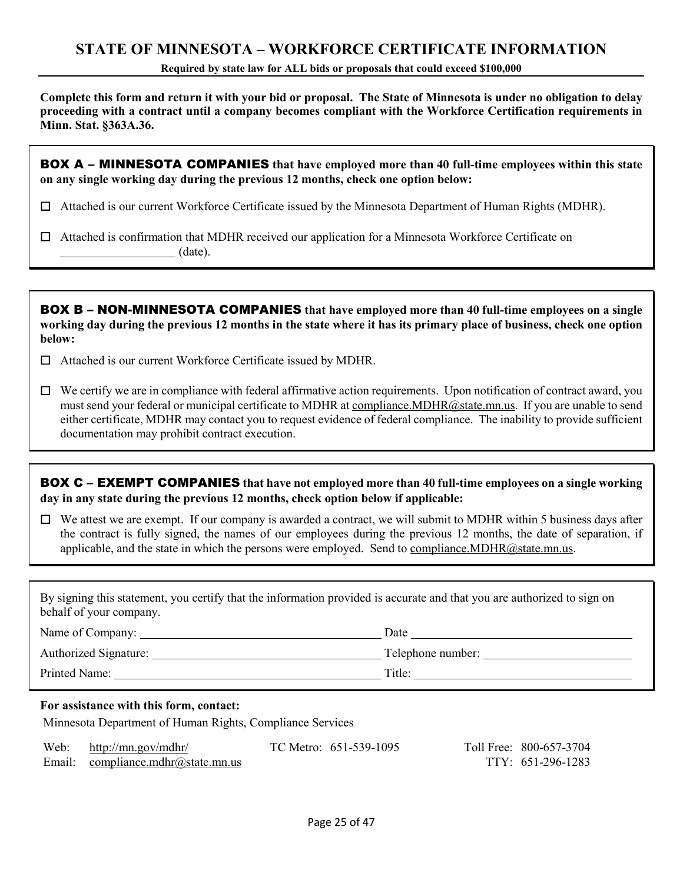## **STATE OF MINNESOTA – WORKFORCE CERTIFICATE INFORMATION**

**Required by state law for ALL bids or proposals that could exceed \$100,000**

**Complete this form and return it with your bid or proposal. The State of Minnesota is under no obligation to delay proceeding with a contract until a company becomes compliant with the Workforce Certification requirements in Minn. Stat. §363A.36.**

BOX A – MINNESOTA COMPANIES **that have employed more than 40 full-time employees within this state on any single working day during the previous 12 months, check one option below:**

☐ Attached is our current Workforce Certificate issued by the Minnesota Department of Human Rights (MDHR).

☐ Attached is confirmation that MDHR received our application for a Minnesota Workforce Certificate on (date).

BOX B – NON-MINNESOTA COMPANIES **that have employed more than 40 full-time employees on a single working day during the previous 12 months in the state where it has its primary place of business, check one option below:**

☐ Attached is our current Workforce Certificate issued by MDHR.

 $\Box$  We certify we are in compliance with federal affirmative action requirements. Upon notification of contract award, you must send your federal or municipal certificate to MDHR at [compliance.MDHR@state.mn.us.](mailto:compliance.MDHR@state.mn.us) If you are unable to send either certificate, MDHR may contact you to request evidence of federal compliance. The inability to provide sufficient documentation may prohibit contract execution.

BOX C – EXEMPT COMPANIES **that have not employed more than 40 full-time employees on a single working day in any state during the previous 12 months, check option below if applicable:**

 $\Box$  We attest we are exempt. If our company is awarded a contract, we will submit to MDHR within 5 business days after the contract is fully signed, the names of our employees during the previous 12 months, the date of separation, if applicable, and the state in which the persons were employed. Send t[o compliance.MDHR@state.mn.us.](mailto:compliance.MDHR@state.mn.us)

By signing this statement, you certify that the information provided is accurate and that you are authorized to sign on behalf of your company.

| Name of Company:      | Date              |
|-----------------------|-------------------|
| Authorized Signature: | Telephone number: |
| Printed Name:         | Title:            |

#### **For assistance with this form, contact:**

Minnesota Department of Human Rights, Compliance Services

| Web: | http://mn.gov/mdhr/                | TC Metro: 651-539-1095 | Toll Free: 800-657-3704 |
|------|------------------------------------|------------------------|-------------------------|
|      | Email: compliance.mdhr@state.mn.us |                        | TTY: 651-296-1283       |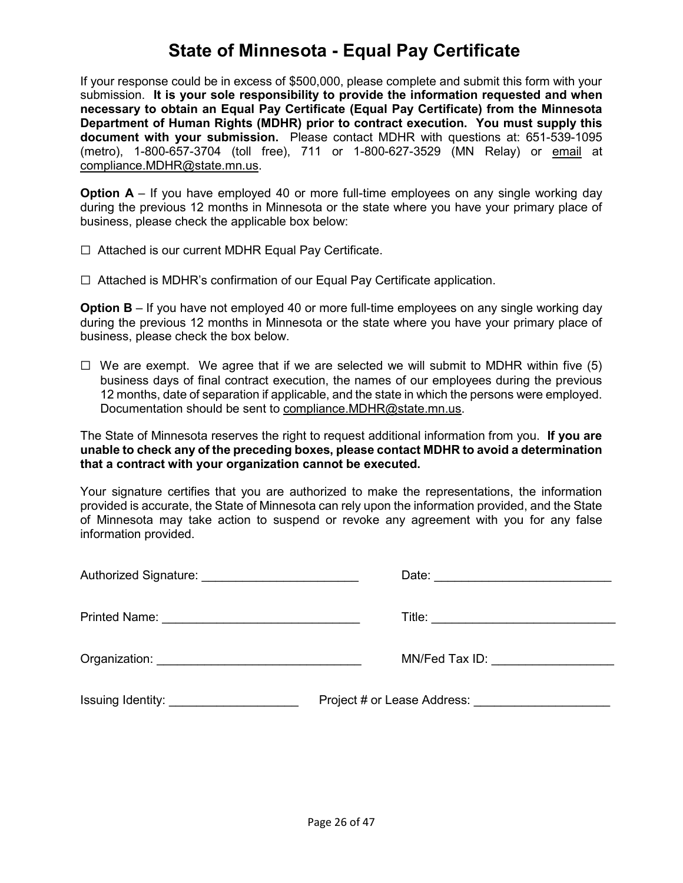# **State of Minnesota - Equal Pay Certificate**

If your response could be in excess of \$500,000, please complete and submit this form with your submission. **It is your sole responsibility to provide the information requested and when necessary to obtain an Equal Pay Certificate (Equal Pay Certificate) from the Minnesota Department of Human Rights (MDHR) prior to contract execution. You must supply this document with your submission.** Please contact MDHR with questions at: 651-539-1095 (metro), 1-800-657-3704 (toll free), 711 or 1-800-627-3529 (MN Relay) or [email](mailto:compliance.MDHR@state.mn.us) at [compliance.MDHR@state.mn.us.](mailto:compliance.MDHR@state.mn.us)

**Option A** – If you have employed 40 or more full-time employees on any single working day during the previous 12 months in Minnesota or the state where you have your primary place of business, please check the applicable box below:

☐ Attached is our current MDHR Equal Pay Certificate.

☐ Attached is MDHR's confirmation of our Equal Pay Certificate application.

**Option B** – If you have not employed 40 or more full-time employees on any single working day during the previous 12 months in Minnesota or the state where you have your primary place of business, please check the box below.

 $\Box$  We are exempt. We agree that if we are selected we will submit to MDHR within five (5) business days of final contract execution, the names of our employees during the previous 12 months, date of separation if applicable, and the state in which the persons were employed. Documentation should be sent to [compliance.MDHR@state.mn.us.](mailto:compliance.MDHR@state.mn.us)

The State of Minnesota reserves the right to request additional information from you. **If you are unable to check any of the preceding boxes, please contact MDHR to avoid a determination that a contract with your organization cannot be executed.**

Your signature certifies that you are authorized to make the representations, the information provided is accurate, the State of Minnesota can rely upon the information provided, and the State of Minnesota may take action to suspend or revoke any agreement with you for any false information provided.

| MN/Fed Tax ID: _________________ |
|----------------------------------|
|                                  |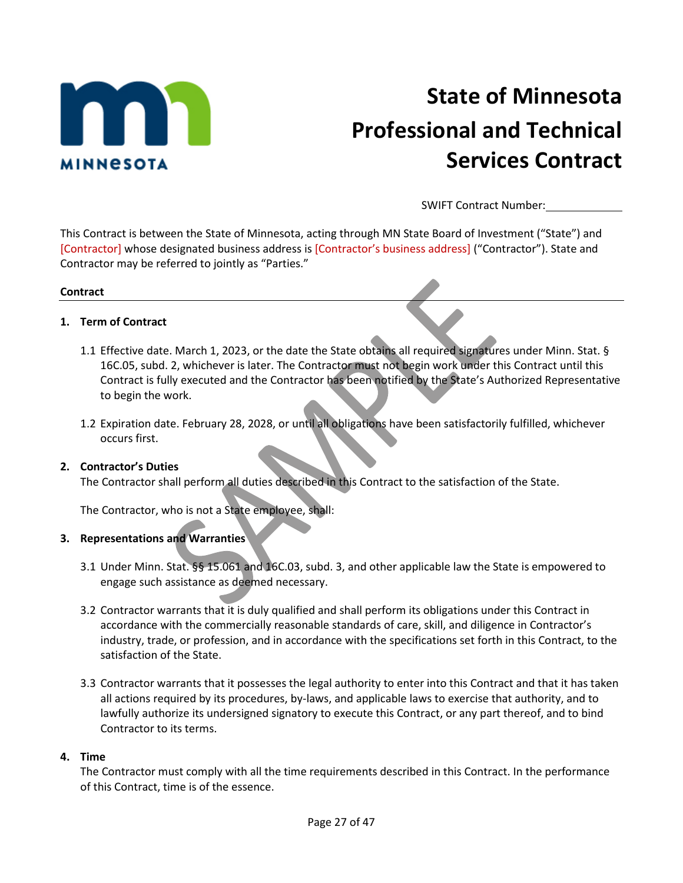

# **State of Minnesota Professional and Technical Services Contract**

SWIFT Contract Number:

This Contract is between the State of Minnesota, acting through MN State Board of Investment ("State") and [Contractor] whose designated business address is [Contractor's business address] ("Contractor"). State and Contractor may be referred to jointly as "Parties."

#### **Contract**

### **1. Term of Contract**

- 1.1 Effective date. March 1, 2023, or the date the State obtains all required signatures under Minn. Stat. § 16C.05, subd. 2, whichever is later. The Contractor must not begin work under this Contract until this Contract is fully executed and the Contractor has been notified by the State's Authorized Representative to begin the work.
- 1.2 Expiration date. February 28, 2028, or until all obligations have been satisfactorily fulfilled, whichever occurs first.

### **2. Contractor's Duties**

The Contractor shall perform all duties described in this Contract to the satisfaction of the State.

The Contractor, who is not a State employee, shall:

### **3. Representations and Warranties**

- 3.1 Under Minn. Stat. §§ 15.061 and 16C.03, subd. 3, and other applicable law the State is empowered to engage such assistance as deemed necessary.
- 3.2 Contractor warrants that it is duly qualified and shall perform its obligations under this Contract in accordance with the commercially reasonable standards of care, skill, and diligence in Contractor's industry, trade, or profession, and in accordance with the specifications set forth in this Contract, to the satisfaction of the State.
- 3.3 Contractor warrants that it possesses the legal authority to enter into this Contract and that it has taken all actions required by its procedures, by-laws, and applicable laws to exercise that authority, and to lawfully authorize its undersigned signatory to execute this Contract, or any part thereof, and to bind Contractor to its terms.

### **4. Time**

The Contractor must comply with all the time requirements described in this Contract. In the performance of this Contract, time is of the essence.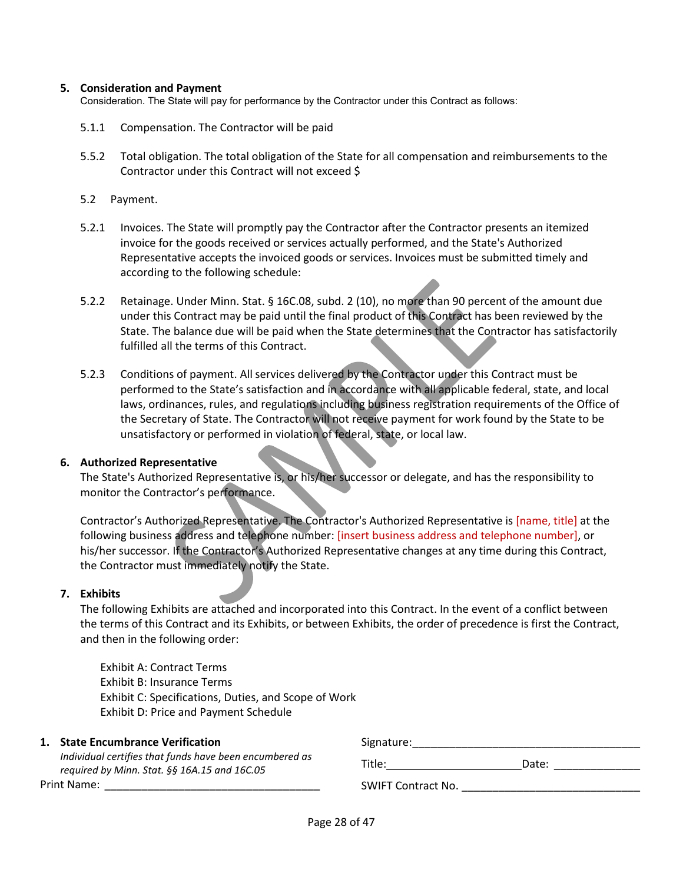#### **5. Consideration and Payment**

Consideration. The State will pay for performance by the Contractor under this Contract as follows:

- 5.1.1 Compensation. The Contractor will be paid
- 5.5.2 Total obligation. The total obligation of the State for all compensation and reimbursements to the Contractor under this Contract will not exceed \$
- 5.2 Payment.
- 5.2.1 Invoices. The State will promptly pay the Contractor after the Contractor presents an itemized invoice for the goods received or services actually performed, and the State's Authorized Representative accepts the invoiced goods or services. Invoices must be submitted timely and according to the following schedule:
- 5.2.2 Retainage. Under Minn. Stat. § 16C.08, subd. 2 (10), no more than 90 percent of the amount due under this Contract may be paid until the final product of this Contract has been reviewed by the State. The balance due will be paid when the State determines that the Contractor has satisfactorily fulfilled all the terms of this Contract.
- 5.2.3 Conditions of payment. All services delivered by the Contractor under this Contract must be performed to the State's satisfaction and in accordance with all applicable federal, state, and local laws, ordinances, rules, and regulations including business registration requirements of the Office of the Secretary of State. The Contractor will not receive payment for work found by the State to be unsatisfactory or performed in violation of federal, state, or local law.

#### **6. Authorized Representative**

The State's Authorized Representative is, or his/her successor or delegate, and has the responsibility to monitor the Contractor's performance.

Contractor's Authorized Representative. The Contractor's Authorized Representative is [name, title] at the following business address and telephone number: [insert business address and telephone number], or his/her successor. If the Contractor's Authorized Representative changes at any time during this Contract, the Contractor must immediately notify the State.

### **7. Exhibits**

The following Exhibits are attached and incorporated into this Contract. In the event of a conflict between the terms of this Contract and its Exhibits, or between Exhibits, the order of precedence is first the Contract, and then in the following order:

Exhibit A: Contract Terms Exhibit B: Insurance Terms Exhibit C: Specifications, Duties, and Scope of Work Exhibit D: Price and Payment Schedule

#### **1. State Encumbrance Verification**

*Individual certifies that funds have been encumbered as required by Minn. Stat. §§ 16A.15 and 16C.05* Print Name:

Signature: Title: Date: \_\_\_\_\_\_\_\_\_\_\_\_\_\_

SWIFT Contract No.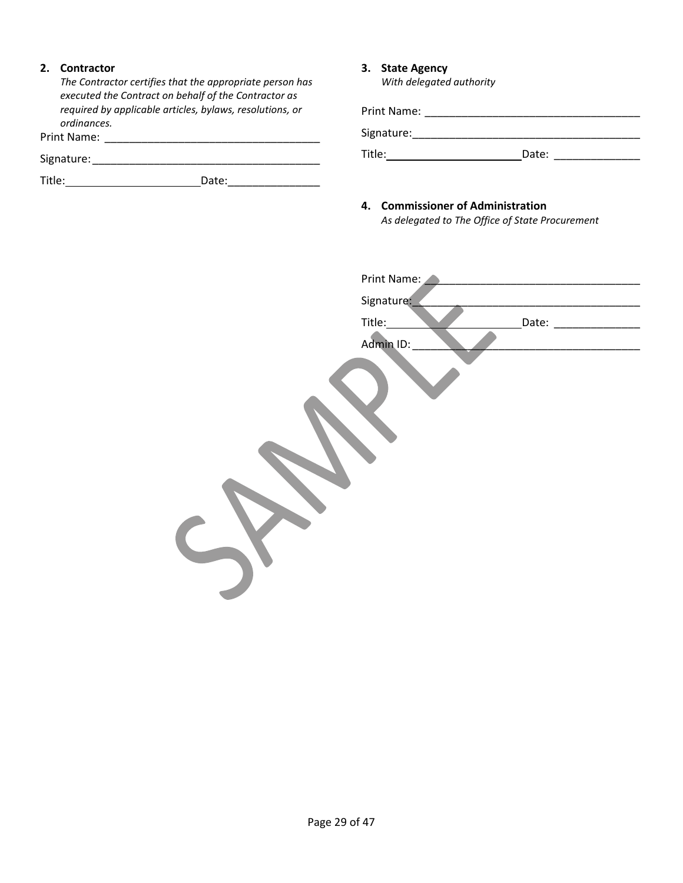### **2. Contractor**

*The Contractor certifies that the appropriate person has executed the Contract on behalf of the Contractor as required by applicable articles, bylaws, resolutions, or ordinances.*

Print Name: \_\_\_\_\_\_\_\_\_\_\_\_\_\_\_\_\_\_\_\_\_\_\_\_\_\_\_\_\_\_\_\_\_\_\_

Signature:\_\_\_\_\_\_\_\_\_\_\_\_\_\_\_\_\_\_\_\_\_\_\_\_\_\_\_\_\_\_\_\_\_\_\_\_\_

Title: Date:\_\_\_\_\_\_\_\_\_\_\_\_\_\_\_

### **3. State Agency**

*With delegated authority*

Print Name:  $\blacksquare$ 

Signature:\_\_\_\_\_\_\_\_\_\_\_\_\_\_\_\_\_\_\_\_\_\_\_\_\_\_\_\_\_\_\_\_\_\_\_\_\_

Title: Date: \_\_\_\_\_\_\_\_\_\_\_\_\_\_

# **4. Commissioner of Administration**

*As delegated to The Office of State Procurement*

| Print Name: |       |
|-------------|-------|
| Signature:  |       |
| Title:      | Date: |
| Admin ID:   |       |
|             |       |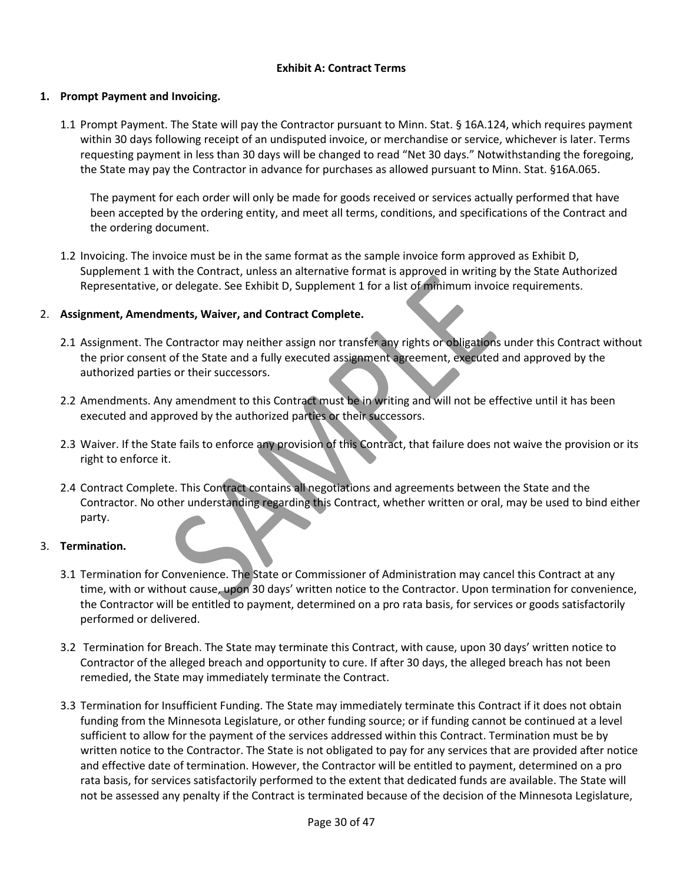### **Exhibit A: Contract Terms**

### **1. Prompt Payment and Invoicing.**

1.1 Prompt Payment. The State will pay the Contractor pursuant to Minn. Stat. § 16A.124, which requires payment within 30 days following receipt of an undisputed invoice, or merchandise or service, whichever is later. Terms requesting payment in less than 30 days will be changed to read "Net 30 days." Notwithstanding the foregoing, the State may pay the Contractor in advance for purchases as allowed pursuant to Minn. Stat. §16A.065.

The payment for each order will only be made for goods received or services actually performed that have been accepted by the ordering entity, and meet all terms, conditions, and specifications of the Contract and the ordering document.

1.2 Invoicing. The invoice must be in the same format as the sample invoice form approved as Exhibit D, Supplement 1 with the Contract, unless an alternative format is approved in writing by the State Authorized Representative, or delegate. See Exhibit D, Supplement 1 for a list of minimum invoice requirements.

### 2. **Assignment, Amendments, Waiver, and Contract Complete.**

- 2.1 Assignment. The Contractor may neither assign nor transfer any rights or obligations under this Contract without the prior consent of the State and a fully executed assignment agreement, executed and approved by the authorized parties or their successors.
- 2.2 Amendments. Any amendment to this Contract must be in writing and will not be effective until it has been executed and approved by the authorized parties or their successors.
- 2.3 Waiver. If the State fails to enforce any provision of this Contract, that failure does not waive the provision or its right to enforce it.
- 2.4 Contract Complete. This Contract contains all negotiations and agreements between the State and the Contractor. No other understanding regarding this Contract, whether written or oral, may be used to bind either party.

### 3. **Termination.**

- 3.1 Termination for Convenience. The State or Commissioner of Administration may cancel this Contract at any time, with or without cause, upon 30 days' written notice to the Contractor. Upon termination for convenience, the Contractor will be entitled to payment, determined on a pro rata basis, for services or goods satisfactorily performed or delivered.
- 3.2 Termination for Breach. The State may terminate this Contract, with cause, upon 30 days' written notice to Contractor of the alleged breach and opportunity to cure. If after 30 days, the alleged breach has not been remedied, the State may immediately terminate the Contract.
- 3.3 Termination for Insufficient Funding. The State may immediately terminate this Contract if it does not obtain funding from the Minnesota Legislature, or other funding source; or if funding cannot be continued at a level sufficient to allow for the payment of the services addressed within this Contract. Termination must be by written notice to the Contractor. The State is not obligated to pay for any services that are provided after notice and effective date of termination. However, the Contractor will be entitled to payment, determined on a pro rata basis, for services satisfactorily performed to the extent that dedicated funds are available. The State will not be assessed any penalty if the Contract is terminated because of the decision of the Minnesota Legislature,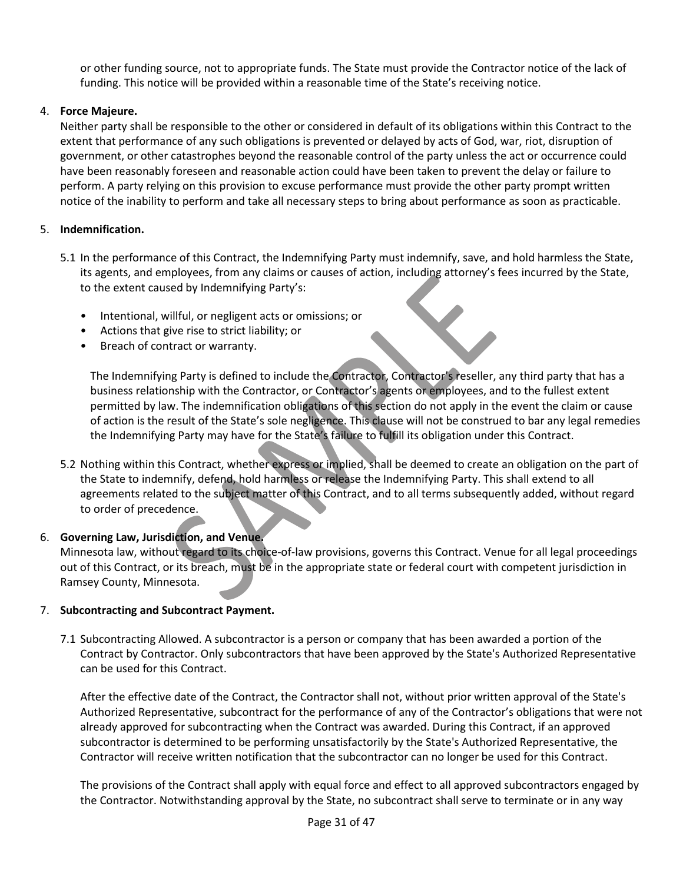or other funding source, not to appropriate funds. The State must provide the Contractor notice of the lack of funding. This notice will be provided within a reasonable time of the State's receiving notice.

### 4. **Force Majeure.**

Neither party shall be responsible to the other or considered in default of its obligations within this Contract to the extent that performance of any such obligations is prevented or delayed by acts of God, war, riot, disruption of government, or other catastrophes beyond the reasonable control of the party unless the act or occurrence could have been reasonably foreseen and reasonable action could have been taken to prevent the delay or failure to perform. A party relying on this provision to excuse performance must provide the other party prompt written notice of the inability to perform and take all necessary steps to bring about performance as soon as practicable.

### 5. **Indemnification.**

- 5.1 In the performance of this Contract, the Indemnifying Party must indemnify, save, and hold harmless the State, its agents, and employees, from any claims or causes of action, including attorney's fees incurred by the State, to the extent caused by Indemnifying Party's:
	- Intentional, willful, or negligent acts or omissions; or
	- Actions that give rise to strict liability; or
	- Breach of contract or warranty.

The Indemnifying Party is defined to include the Contractor, Contractor's reseller, any third party that has a business relationship with the Contractor, or Contractor's agents or employees, and to the fullest extent permitted by law. The indemnification obligations of this section do not apply in the event the claim or cause of action is the result of the State's sole negligence. This clause will not be construed to bar any legal remedies the Indemnifying Party may have for the State's failure to fulfill its obligation under this Contract.

5.2 Nothing within this Contract, whether express or implied, shall be deemed to create an obligation on the part of the State to indemnify, defend, hold harmless or release the Indemnifying Party. This shall extend to all agreements related to the subject matter of this Contract, and to all terms subsequently added, without regard to order of precedence.

### 6. **Governing Law, Jurisdiction, and Venue.**

Minnesota law, without regard to its choice-of-law provisions, governs this Contract. Venue for all legal proceedings out of this Contract, or its breach, must be in the appropriate state or federal court with competent jurisdiction in Ramsey County, Minnesota.

### 7. **Subcontracting and Subcontract Payment.**

7.1 Subcontracting Allowed. A subcontractor is a person or company that has been awarded a portion of the Contract by Contractor. Only subcontractors that have been approved by the State's Authorized Representative can be used for this Contract.

After the effective date of the Contract, the Contractor shall not, without prior written approval of the State's Authorized Representative, subcontract for the performance of any of the Contractor's obligations that were not already approved for subcontracting when the Contract was awarded. During this Contract, if an approved subcontractor is determined to be performing unsatisfactorily by the State's Authorized Representative, the Contractor will receive written notification that the subcontractor can no longer be used for this Contract.

The provisions of the Contract shall apply with equal force and effect to all approved subcontractors engaged by the Contractor. Notwithstanding approval by the State, no subcontract shall serve to terminate or in any way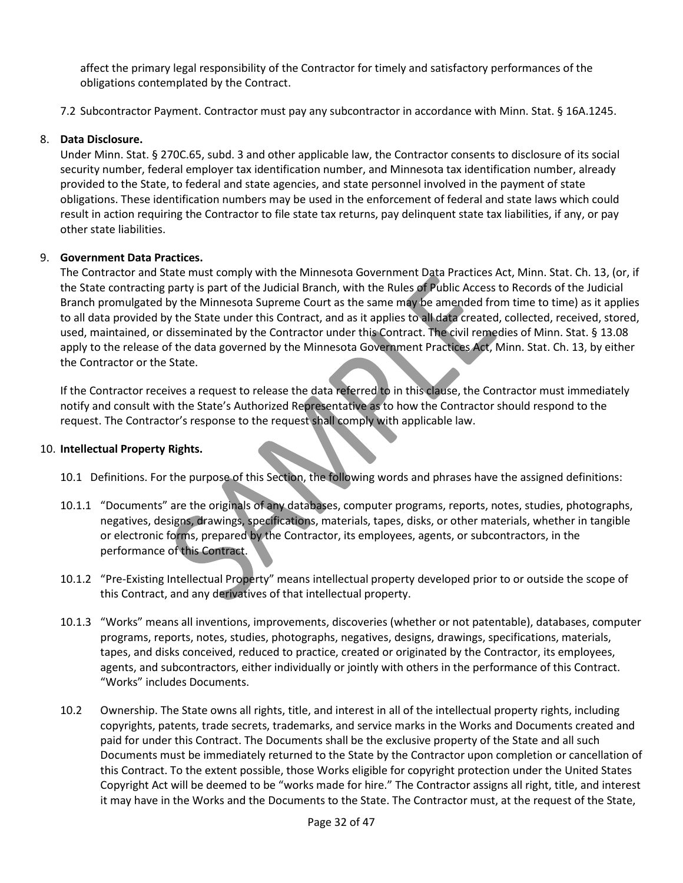affect the primary legal responsibility of the Contractor for timely and satisfactory performances of the obligations contemplated by the Contract.

7.2 Subcontractor Payment. Contractor must pay any subcontractor in accordance with Minn. Stat. § 16A.1245.

### 8. **Data Disclosure.**

Under Minn. Stat. § 270C.65, subd. 3 and other applicable law, the Contractor consents to disclosure of its social security number, federal employer tax identification number, and Minnesota tax identification number, already provided to the State, to federal and state agencies, and state personnel involved in the payment of state obligations. These identification numbers may be used in the enforcement of federal and state laws which could result in action requiring the Contractor to file state tax returns, pay delinquent state tax liabilities, if any, or pay other state liabilities.

### 9. **Government Data Practices.**

The Contractor and State must comply with the Minnesota Government Data Practices Act, Minn. Stat. Ch. 13, (or, if the State contracting party is part of the Judicial Branch, with the Rules of Public Access to Records of the Judicial Branch promulgated by the Minnesota Supreme Court as the same may be amended from time to time) as it applies to all data provided by the State under this Contract, and as it applies to all data created, collected, received, stored, used, maintained, or disseminated by the Contractor under this Contract. The civil remedies of Minn. Stat. § 13.08 apply to the release of the data governed by the Minnesota Government Practices Act, Minn. Stat. Ch. 13, by either the Contractor or the State.

If the Contractor receives a request to release the data referred to in this clause, the Contractor must immediately notify and consult with the State's Authorized Representative as to how the Contractor should respond to the request. The Contractor's response to the request shall comply with applicable law.

### 10. **Intellectual Property Rights.**

- 10.1 Definitions. For the purpose of this Section, the following words and phrases have the assigned definitions:
- 10.1.1 "Documents" are the originals of any databases, computer programs, reports, notes, studies, photographs, negatives, designs, drawings, specifications, materials, tapes, disks, or other materials, whether in tangible or electronic forms, prepared by the Contractor, its employees, agents, or subcontractors, in the performance of this Contract.
- 10.1.2 "Pre-Existing Intellectual Property" means intellectual property developed prior to or outside the scope of this Contract, and any derivatives of that intellectual property.
- 10.1.3 "Works" means all inventions, improvements, discoveries (whether or not patentable), databases, computer programs, reports, notes, studies, photographs, negatives, designs, drawings, specifications, materials, tapes, and disks conceived, reduced to practice, created or originated by the Contractor, its employees, agents, and subcontractors, either individually or jointly with others in the performance of this Contract. "Works" includes Documents.
- 10.2 Ownership. The State owns all rights, title, and interest in all of the intellectual property rights, including copyrights, patents, trade secrets, trademarks, and service marks in the Works and Documents created and paid for under this Contract. The Documents shall be the exclusive property of the State and all such Documents must be immediately returned to the State by the Contractor upon completion or cancellation of this Contract. To the extent possible, those Works eligible for copyright protection under the United States Copyright Act will be deemed to be "works made for hire." The Contractor assigns all right, title, and interest it may have in the Works and the Documents to the State. The Contractor must, at the request of the State,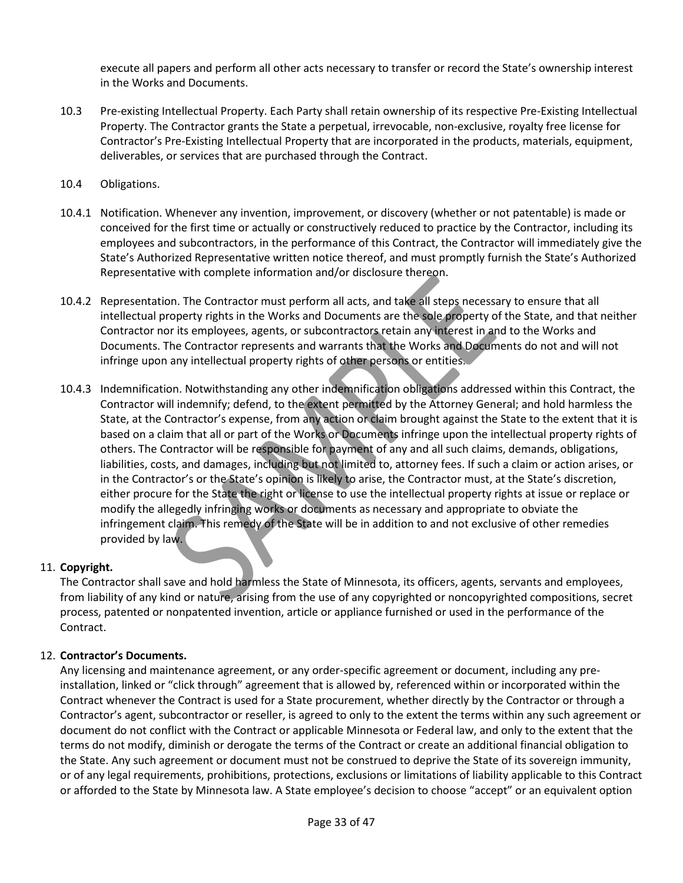execute all papers and perform all other acts necessary to transfer or record the State's ownership interest in the Works and Documents.

- 10.3 Pre-existing Intellectual Property. Each Party shall retain ownership of its respective Pre-Existing Intellectual Property. The Contractor grants the State a perpetual, irrevocable, non-exclusive, royalty free license for Contractor's Pre-Existing Intellectual Property that are incorporated in the products, materials, equipment, deliverables, or services that are purchased through the Contract.
- 10.4 Obligations.
- 10.4.1 Notification. Whenever any invention, improvement, or discovery (whether or not patentable) is made or conceived for the first time or actually or constructively reduced to practice by the Contractor, including its employees and subcontractors, in the performance of this Contract, the Contractor will immediately give the State's Authorized Representative written notice thereof, and must promptly furnish the State's Authorized Representative with complete information and/or disclosure thereon.
- 10.4.2 Representation. The Contractor must perform all acts, and take all steps necessary to ensure that all intellectual property rights in the Works and Documents are the sole property of the State, and that neither Contractor nor its employees, agents, or subcontractors retain any interest in and to the Works and Documents. The Contractor represents and warrants that the Works and Documents do not and will not infringe upon any intellectual property rights of other persons or entities.
- 10.4.3 Indemnification. Notwithstanding any other indemnification obligations addressed within this Contract, the Contractor will indemnify; defend, to the extent permitted by the Attorney General; and hold harmless the State, at the Contractor's expense, from any action or claim brought against the State to the extent that it is based on a claim that all or part of the Works or Documents infringe upon the intellectual property rights of others. The Contractor will be responsible for payment of any and all such claims, demands, obligations, liabilities, costs, and damages, including but not limited to, attorney fees. If such a claim or action arises, or in the Contractor's or the State's opinion is likely to arise, the Contractor must, at the State's discretion, either procure for the State the right or license to use the intellectual property rights at issue or replace or modify the allegedly infringing works or documents as necessary and appropriate to obviate the infringement claim. This remedy of the State will be in addition to and not exclusive of other remedies provided by law.

### 11. **Copyright.**

The Contractor shall save and hold harmless the State of Minnesota, its officers, agents, servants and employees, from liability of any kind or nature, arising from the use of any copyrighted or noncopyrighted compositions, secret process, patented or nonpatented invention, article or appliance furnished or used in the performance of the Contract.

### 12. **Contractor's Documents.**

Any licensing and maintenance agreement, or any order-specific agreement or document, including any preinstallation, linked or "click through" agreement that is allowed by, referenced within or incorporated within the Contract whenever the Contract is used for a State procurement, whether directly by the Contractor or through a Contractor's agent, subcontractor or reseller, is agreed to only to the extent the terms within any such agreement or document do not conflict with the Contract or applicable Minnesota or Federal law, and only to the extent that the terms do not modify, diminish or derogate the terms of the Contract or create an additional financial obligation to the State. Any such agreement or document must not be construed to deprive the State of its sovereign immunity, or of any legal requirements, prohibitions, protections, exclusions or limitations of liability applicable to this Contract or afforded to the State by Minnesota law. A State employee's decision to choose "accept" or an equivalent option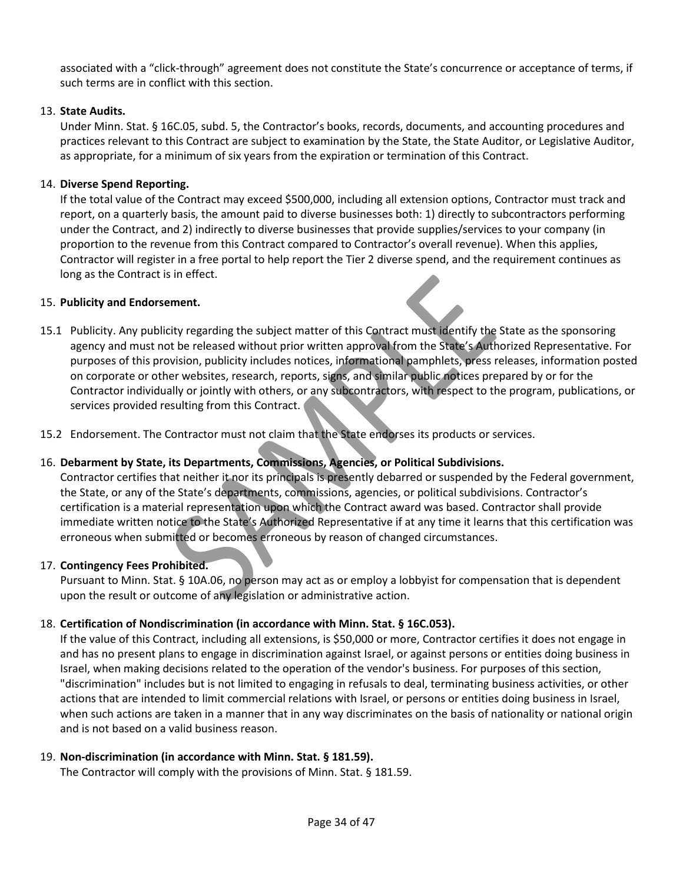associated with a "click-through" agreement does not constitute the State's concurrence or acceptance of terms, if such terms are in conflict with this section.

### 13. **State Audits.**

Under Minn. Stat. § 16C.05, subd. 5, the Contractor's books, records, documents, and accounting procedures and practices relevant to this Contract are subject to examination by the State, the State Auditor, or Legislative Auditor, as appropriate, for a minimum of six years from the expiration or termination of this Contract.

### 14. **Diverse Spend Reporting.**

If the total value of the Contract may exceed \$500,000, including all extension options, Contractor must track and report, on a quarterly basis, the amount paid to diverse businesses both: 1) directly to subcontractors performing under the Contract, and 2) indirectly to diverse businesses that provide supplies/services to your company (in proportion to the revenue from this Contract compared to Contractor's overall revenue). When this applies, Contractor will register in a free portal to help report the Tier 2 diverse spend, and the requirement continues as long as the Contract is in effect.

### 15. **Publicity and Endorsement.**

- 15.1 Publicity. Any publicity regarding the subject matter of this Contract must identify the State as the sponsoring agency and must not be released without prior written approval from the State's Authorized Representative. For purposes of this provision, publicity includes notices, informational pamphlets, press releases, information posted on corporate or other websites, research, reports, signs, and similar public notices prepared by or for the Contractor individually or jointly with others, or any subcontractors, with respect to the program, publications, or services provided resulting from this Contract.
- 15.2 Endorsement. The Contractor must not claim that the State endorses its products or services.

### 16. **Debarment by State, its Departments, Commissions, Agencies, or Political Subdivisions.**

Contractor certifies that neither it nor its principals is presently debarred or suspended by the Federal government, the State, or any of the State's departments, commissions, agencies, or political subdivisions. Contractor's certification is a material representation upon which the Contract award was based. Contractor shall provide immediate written notice to the State's Authorized Representative if at any time it learns that this certification was erroneous when submitted or becomes erroneous by reason of changed circumstances.

### 17. **Contingency Fees Prohibited.**

Pursuant to Minn. Stat. § 10A.06, no person may act as or employ a lobbyist for compensation that is dependent upon the result or outcome of any legislation or administrative action.

### 18. **Certification of Nondiscrimination (in accordance with Minn. Stat. § 16C.053).**

If the value of this Contract, including all extensions, is \$50,000 or more, Contractor certifies it does not engage in and has no present plans to engage in discrimination against Israel, or against persons or entities doing business in Israel, when making decisions related to the operation of the vendor's business. For purposes of this section, "discrimination" includes but is not limited to engaging in refusals to deal, terminating business activities, or other actions that are intended to limit commercial relations with Israel, or persons or entities doing business in Israel, when such actions are taken in a manner that in any way discriminates on the basis of nationality or national origin and is not based on a valid business reason.

### 19. **Non-discrimination (in accordance with Minn. Stat. § 181.59).**

The Contractor will comply with the provisions of Minn. Stat. § 181.59.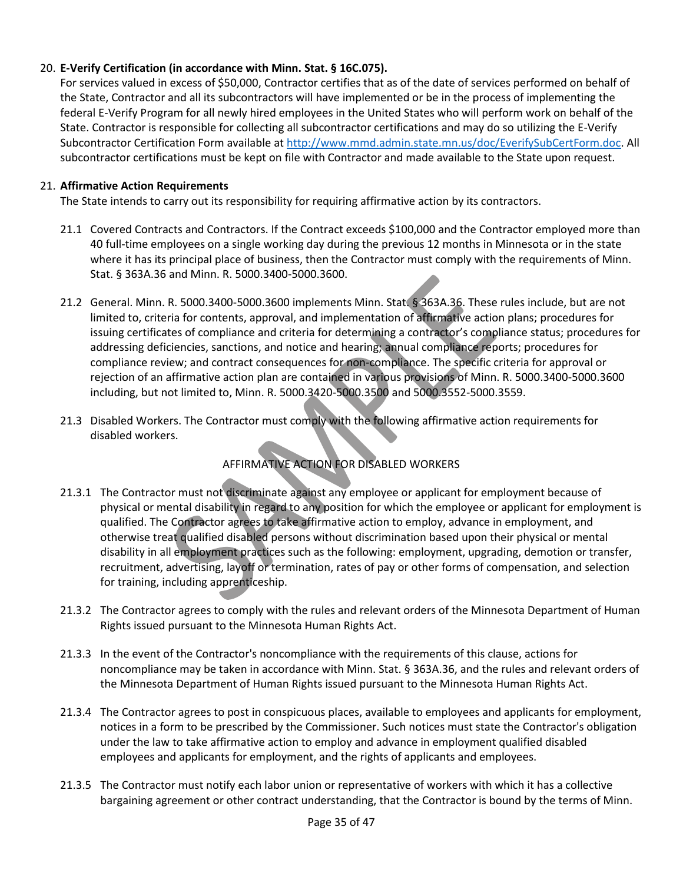### 20. **E-Verify Certification (in accordance with Minn. Stat. § 16C.075).**

For services valued in excess of \$50,000, Contractor certifies that as of the date of services performed on behalf of the State, Contractor and all its subcontractors will have implemented or be in the process of implementing the federal E-Verify Program for all newly hired employees in the United States who will perform work on behalf of the State. Contractor is responsible for collecting all subcontractor certifications and may do so utilizing the E-Verify Subcontractor Certification Form available at [http://www.mmd.admin.state.mn.us/doc/EverifySubCertForm.doc.](http://www.mmd.admin.state.mn.us/doc/EverifySubCertForm.doc) All subcontractor certifications must be kept on file with Contractor and made available to the State upon request.

### 21. **Affirmative Action Requirements**

The State intends to carry out its responsibility for requiring affirmative action by its contractors.

- 21.1 Covered Contracts and Contractors. If the Contract exceeds \$100,000 and the Contractor employed more than 40 full-time employees on a single working day during the previous 12 months in Minnesota or in the state where it has its principal place of business, then the Contractor must comply with the requirements of Minn. Stat. § 363A.36 and Minn. R. 5000.3400-5000.3600.
- 21.2 General. Minn. R. 5000.3400-5000.3600 implements Minn. Stat. § 363A.36. These rules include, but are not limited to, criteria for contents, approval, and implementation of affirmative action plans; procedures for issuing certificates of compliance and criteria for determining a contractor's compliance status; procedures for addressing deficiencies, sanctions, and notice and hearing; annual compliance reports; procedures for compliance review; and contract consequences for non-compliance. The specific criteria for approval or rejection of an affirmative action plan are contained in various provisions of Minn. R. 5000.3400-5000.3600 including, but not limited to, Minn. R. 5000.3420-5000.3500 and 5000.3552-5000.3559.
- 21.3 Disabled Workers. The Contractor must comply with the following affirmative action requirements for disabled workers.

### AFFIRMATIVE ACTION FOR DISABLED WORKERS

- 21.3.1 The Contractor must not discriminate against any employee or applicant for employment because of physical or mental disability in regard to any position for which the employee or applicant for employment is qualified. The Contractor agrees to take affirmative action to employ, advance in employment, and otherwise treat qualified disabled persons without discrimination based upon their physical or mental disability in all employment practices such as the following: employment, upgrading, demotion or transfer, recruitment, advertising, layoff or termination, rates of pay or other forms of compensation, and selection for training, including apprenticeship.
- 21.3.2 The Contractor agrees to comply with the rules and relevant orders of the Minnesota Department of Human Rights issued pursuant to the Minnesota Human Rights Act.
- 21.3.3 In the event of the Contractor's noncompliance with the requirements of this clause, actions for noncompliance may be taken in accordance with Minn. Stat. § 363A.36, and the rules and relevant orders of the Minnesota Department of Human Rights issued pursuant to the Minnesota Human Rights Act.
- 21.3.4 The Contractor agrees to post in conspicuous places, available to employees and applicants for employment, notices in a form to be prescribed by the Commissioner. Such notices must state the Contractor's obligation under the law to take affirmative action to employ and advance in employment qualified disabled employees and applicants for employment, and the rights of applicants and employees.
- 21.3.5 The Contractor must notify each labor union or representative of workers with which it has a collective bargaining agreement or other contract understanding, that the Contractor is bound by the terms of Minn.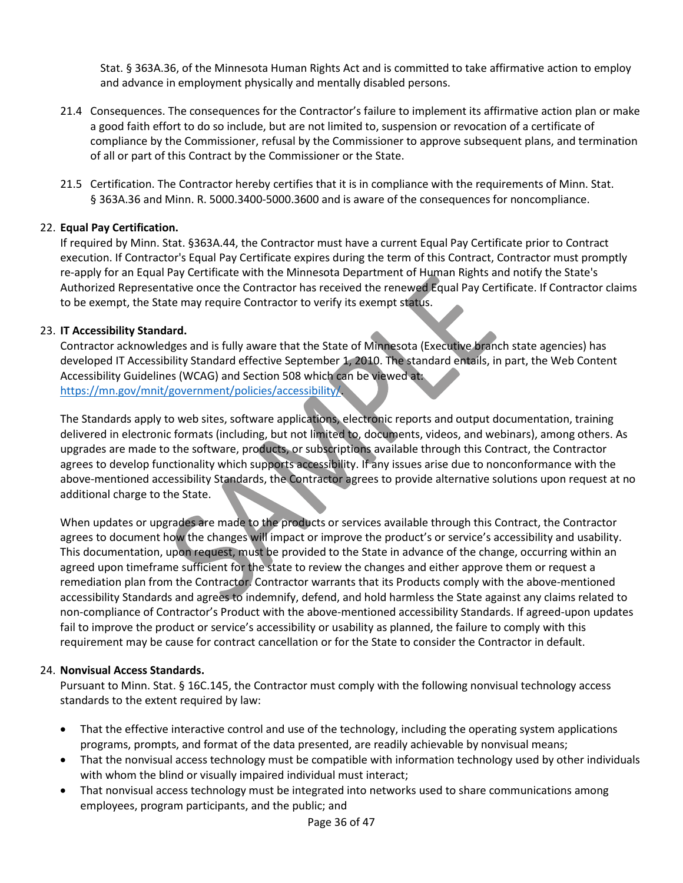Stat. § 363A.36, of the Minnesota Human Rights Act and is committed to take affirmative action to employ and advance in employment physically and mentally disabled persons.

- 21.4 Consequences. The consequences for the Contractor's failure to implement its affirmative action plan or make a good faith effort to do so include, but are not limited to, suspension or revocation of a certificate of compliance by the Commissioner, refusal by the Commissioner to approve subsequent plans, and termination of all or part of this Contract by the Commissioner or the State.
- 21.5 Certification. The Contractor hereby certifies that it is in compliance with the requirements of Minn. Stat. § 363A.36 and Minn. R. 5000.3400-5000.3600 and is aware of the consequences for noncompliance.

### 22. **Equal Pay Certification.**

If required by Minn. Stat. §363A.44, the Contractor must have a current Equal Pay Certificate prior to Contract execution. If Contractor's Equal Pay Certificate expires during the term of this Contract, Contractor must promptly re-apply for an Equal Pay Certificate with the Minnesota Department of Human Rights and notify the State's Authorized Representative once the Contractor has received the renewed Equal Pay Certificate. If Contractor claims to be exempt, the State may require Contractor to verify its exempt status.

### 23. **IT Accessibility Standard.**

Contractor acknowledges and is fully aware that the State of Minnesota (Executive branch state agencies) has developed IT Accessibility Standard effective September 1, 2010. The standard entails, in part, the Web Content Accessibility Guidelines (WCAG) and Section 508 which can be viewed at: [https://mn.gov/mnit/government/policies/accessibility/.](https://mn.gov/mnit/government/policies/accessibility/)

The Standards apply to web sites, software applications, electronic reports and output documentation, training delivered in electronic formats (including, but not limited to, documents, videos, and webinars), among others. As upgrades are made to the software, products, or subscriptions available through this Contract, the Contractor agrees to develop functionality which supports accessibility. If any issues arise due to nonconformance with the above-mentioned accessibility Standards, the Contractor agrees to provide alternative solutions upon request at no additional charge to the State.

When updates or upgrades are made to the products or services available through this Contract, the Contractor agrees to document how the changes will impact or improve the product's or service's accessibility and usability. This documentation, upon request, must be provided to the State in advance of the change, occurring within an agreed upon timeframe sufficient for the state to review the changes and either approve them or request a remediation plan from the Contractor. Contractor warrants that its Products comply with the above-mentioned accessibility Standards and agrees to indemnify, defend, and hold harmless the State against any claims related to non-compliance of Contractor's Product with the above-mentioned accessibility Standards. If agreed-upon updates fail to improve the product or service's accessibility or usability as planned, the failure to comply with this requirement may be cause for contract cancellation or for the State to consider the Contractor in default.

### 24. **Nonvisual Access Standards.**

Pursuant to Minn. Stat. § 16C.145, the Contractor must comply with the following nonvisual technology access standards to the extent required by law:

- That the effective interactive control and use of the technology, including the operating system applications programs, prompts, and format of the data presented, are readily achievable by nonvisual means;
- That the nonvisual access technology must be compatible with information technology used by other individuals with whom the blind or visually impaired individual must interact;
- That nonvisual access technology must be integrated into networks used to share communications among employees, program participants, and the public; and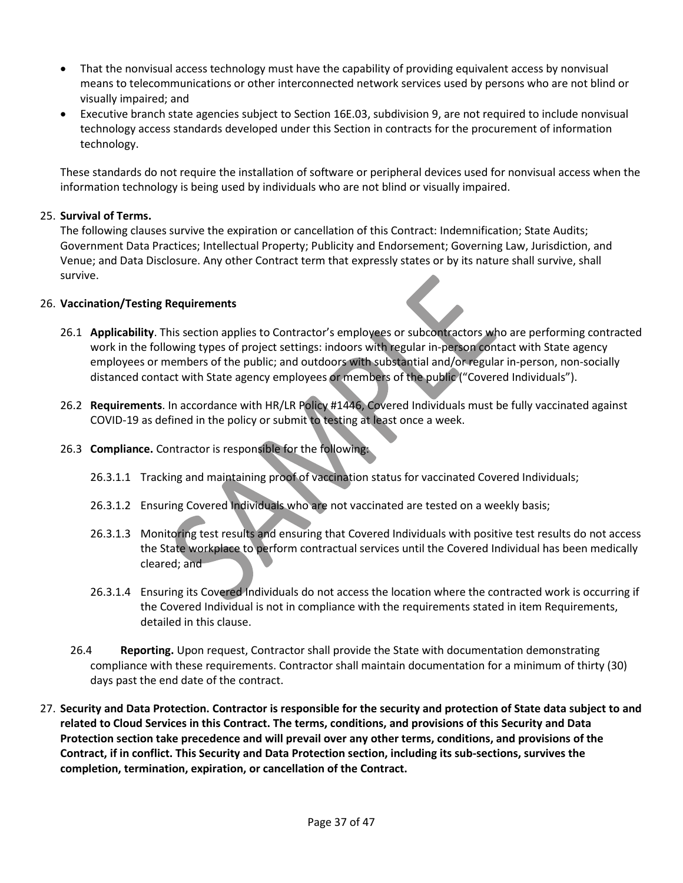- That the nonvisual access technology must have the capability of providing equivalent access by nonvisual means to telecommunications or other interconnected network services used by persons who are not blind or visually impaired; and
- Executive branch state agencies subject to Section 16E.03, subdivision 9, are not required to include nonvisual technology access standards developed under this Section in contracts for the procurement of information technology.

These standards do not require the installation of software or peripheral devices used for nonvisual access when the information technology is being used by individuals who are not blind or visually impaired.

### 25. **Survival of Terms.**

The following clauses survive the expiration or cancellation of this Contract: Indemnification; State Audits; Government Data Practices; Intellectual Property; Publicity and Endorsement; Governing Law, Jurisdiction, and Venue; and Data Disclosure. Any other Contract term that expressly states or by its nature shall survive, shall survive.

### 26. **Vaccination/Testing Requirements**

- 26.1 **Applicability**. This section applies to Contractor's employees or subcontractors who are performing contracted work in the following types of project settings: indoors with regular in-person contact with State agency employees or members of the public; and outdoors with substantial and/or regular in-person, non-socially distanced contact with State agency employees or members of the public ("Covered Individuals").
- 26.2 **Requirements**. In accordance wit[h HR/LR Policy #1446,](https://mn.gov/mmb-stat/policies/1446-covid19testingvaccination.pdf) Covered Individuals must be fully vaccinated against COVID-19 as defined in the policy or submit to testing at least once a week.
- 26.3 **Compliance.** Contractor is responsible for the following:
	- 26.3.1.1 Tracking and maintaining proof of vaccination status for vaccinated Covered Individuals;
	- 26.3.1.2 Ensuring Covered Individuals who are not vaccinated are tested on a weekly basis;
	- 26.3.1.3 Monitoring test results and ensuring that Covered Individuals with positive test results do not access the State workplace to perform contractual services until the Covered Individual has been medically cleared; and
	- 26.3.1.4 Ensuring its Covered Individuals do not access the location where the contracted work is occurring if the Covered Individual is not in compliance with the requirements stated in item Requirements, detailed in this clause.
	- 26.4 **Reporting.** Upon request, Contractor shall provide the State with documentation demonstrating compliance with these requirements. Contractor shall maintain documentation for a minimum of thirty (30) days past the end date of the contract.
- 27. **Security and Data Protection. Contractor is responsible for the security and protection of State data subject to and related to Cloud Services in this Contract. The terms, conditions, and provisions of this Security and Data Protection section take precedence and will prevail over any other terms, conditions, and provisions of the Contract, if in conflict. This Security and Data Protection section, including its sub-sections, survives the completion, termination, expiration, or cancellation of the Contract.**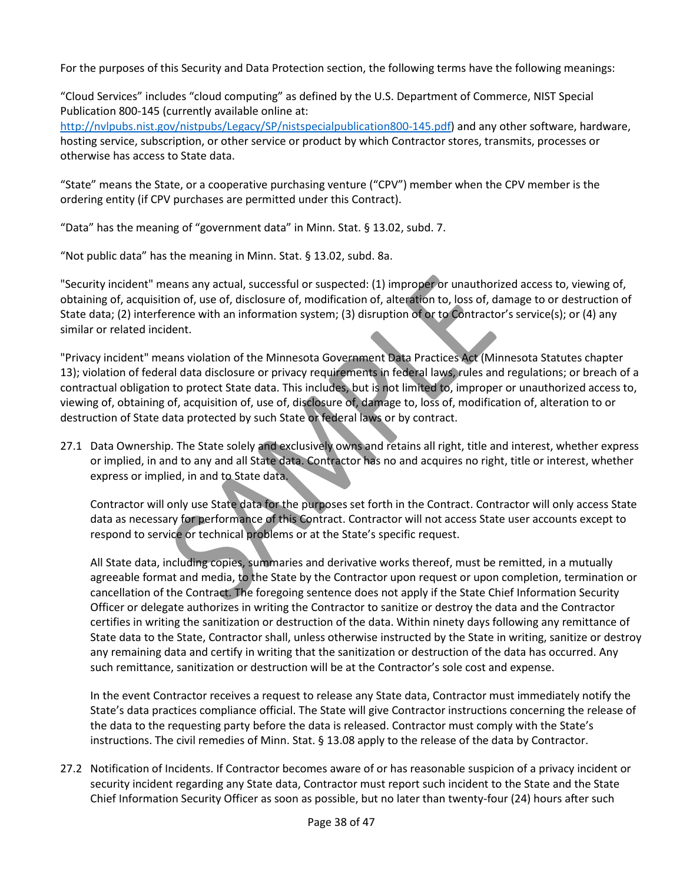For the purposes of this Security and Data Protection section, the following terms have the following meanings:

"Cloud Services" includes "cloud computing" as defined by the U.S. Department of Commerce, NIST Special Publication 800-145 (currently available online at:

[http://nvlpubs.nist.gov/nistpubs/Legacy/SP/nistspecialpublication800-145.pdf\)](http://nvlpubs.nist.gov/nistpubs/Legacy/SP/nistspecialpublication800-145.pdf) and any other software, hardware, hosting service, subscription, or other service or product by which Contractor stores, transmits, processes or otherwise has access to State data.

"State" means the State, or a cooperative purchasing venture ("CPV") member when the CPV member is the ordering entity (if CPV purchases are permitted under this Contract).

"Data" has the meaning of "government data" in Minn. Stat. § 13.02, subd. 7.

"Not public data" has the meaning in Minn. Stat. § 13.02, subd. 8a.

"Security incident" means any actual, successful or suspected: (1) improper or unauthorized access to, viewing of, obtaining of, acquisition of, use of, disclosure of, modification of, alteration to, loss of, damage to or destruction of State data; (2) interference with an information system; (3) disruption of or to Contractor's service(s); or (4) any similar or related incident.

"Privacy incident" means violation of the Minnesota Government Data Practices Act (Minnesota Statutes chapter 13); violation of federal data disclosure or privacy requirements in federal laws, rules and regulations; or breach of a contractual obligation to protect State data. This includes, but is not limited to, improper or unauthorized access to, viewing of, obtaining of, acquisition of, use of, disclosure of, damage to, loss of, modification of, alteration to or destruction of State data protected by such State or federal laws or by contract.

27.1 Data Ownership. The State solely and exclusively owns and retains all right, title and interest, whether express or implied, in and to any and all State data. Contractor has no and acquires no right, title or interest, whether express or implied, in and to State data.

Contractor will only use State data for the purposes set forth in the Contract. Contractor will only access State data as necessary for performance of this Contract. Contractor will not access State user accounts except to respond to service or technical problems or at the State's specific request.

All State data, including copies, summaries and derivative works thereof, must be remitted, in a mutually agreeable format and media, to the State by the Contractor upon request or upon completion, termination or cancellation of the Contract. The foregoing sentence does not apply if the State Chief Information Security Officer or delegate authorizes in writing the Contractor to sanitize or destroy the data and the Contractor certifies in writing the sanitization or destruction of the data. Within ninety days following any remittance of State data to the State, Contractor shall, unless otherwise instructed by the State in writing, sanitize or destroy any remaining data and certify in writing that the sanitization or destruction of the data has occurred. Any such remittance, sanitization or destruction will be at the Contractor's sole cost and expense.

In the event Contractor receives a request to release any State data, Contractor must immediately notify the State's data practices compliance official. The State will give Contractor instructions concerning the release of the data to the requesting party before the data is released. Contractor must comply with the State's instructions. The civil remedies of Minn. Stat. § 13.08 apply to the release of the data by Contractor.

27.2 Notification of Incidents. If Contractor becomes aware of or has reasonable suspicion of a privacy incident or security incident regarding any State data, Contractor must report such incident to the State and the State Chief Information Security Officer as soon as possible, but no later than twenty-four (24) hours after such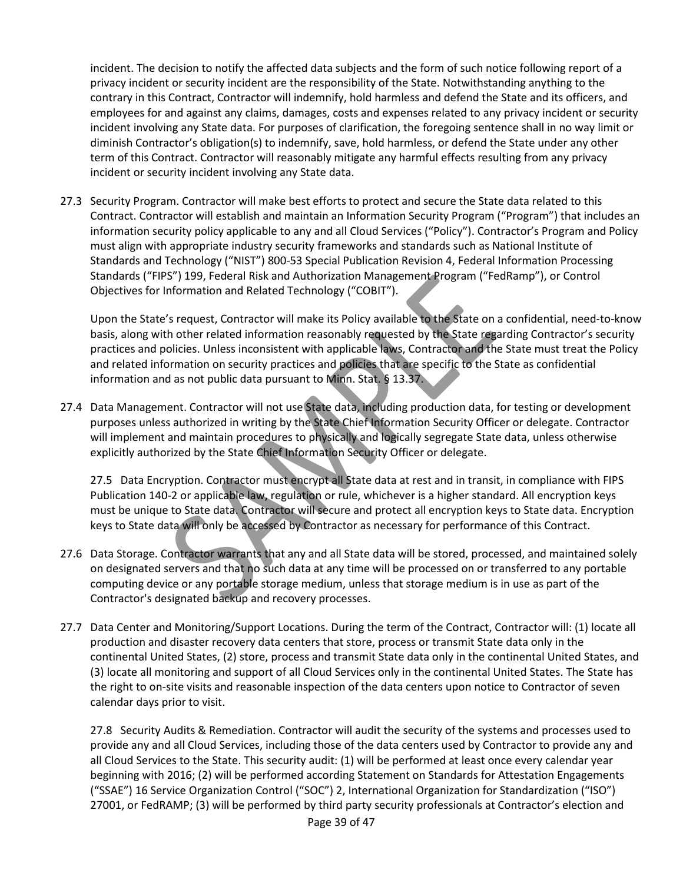incident. The decision to notify the affected data subjects and the form of such notice following report of a privacy incident or security incident are the responsibility of the State. Notwithstanding anything to the contrary in this Contract, Contractor will indemnify, hold harmless and defend the State and its officers, and employees for and against any claims, damages, costs and expenses related to any privacy incident or security incident involving any State data. For purposes of clarification, the foregoing sentence shall in no way limit or diminish Contractor's obligation(s) to indemnify, save, hold harmless, or defend the State under any other term of this Contract. Contractor will reasonably mitigate any harmful effects resulting from any privacy incident or security incident involving any State data.

27.3 Security Program. Contractor will make best efforts to protect and secure the State data related to this Contract. Contractor will establish and maintain an Information Security Program ("Program") that includes an information security policy applicable to any and all Cloud Services ("Policy"). Contractor's Program and Policy must align with appropriate industry security frameworks and standards such as National Institute of Standards and Technology ("NIST") 800-53 Special Publication Revision 4, Federal Information Processing Standards ("FIPS") 199, Federal Risk and Authorization Management Program ("FedRamp"), or Control Objectives for Information and Related Technology ("COBIT").

Upon the State's request, Contractor will make its Policy available to the State on a confidential, need-to-know basis, along with other related information reasonably requested by the State regarding Contractor's security practices and policies. Unless inconsistent with applicable laws, Contractor and the State must treat the Policy and related information on security practices and policies that are specific to the State as confidential information and as not public data pursuant to Minn. Stat. § 13.37.

27.4 Data Management. Contractor will not use State data, including production data, for testing or development purposes unless authorized in writing by the State Chief Information Security Officer or delegate. Contractor will implement and maintain procedures to physically and logically segregate State data, unless otherwise explicitly authorized by the State Chief Information Security Officer or delegate.

27.5 Data Encryption. Contractor must encrypt all State data at rest and in transit, in compliance with FIPS Publication 140-2 or applicable law, regulation or rule, whichever is a higher standard. All encryption keys must be unique to State data. Contractor will secure and protect all encryption keys to State data. Encryption keys to State data will only be accessed by Contractor as necessary for performance of this Contract.

- 27.6 Data Storage. Contractor warrants that any and all State data will be stored, processed, and maintained solely on designated servers and that no such data at any time will be processed on or transferred to any portable computing device or any portable storage medium, unless that storage medium is in use as part of the Contractor's designated backup and recovery processes.
- 27.7 Data Center and Monitoring/Support Locations. During the term of the Contract, Contractor will: (1) locate all production and disaster recovery data centers that store, process or transmit State data only in the continental United States, (2) store, process and transmit State data only in the continental United States, and (3) locate all monitoring and support of all Cloud Services only in the continental United States. The State has the right to on-site visits and reasonable inspection of the data centers upon notice to Contractor of seven calendar days prior to visit.

27.8 Security Audits & Remediation. Contractor will audit the security of the systems and processes used to provide any and all Cloud Services, including those of the data centers used by Contractor to provide any and all Cloud Services to the State. This security audit: (1) will be performed at least once every calendar year beginning with 2016; (2) will be performed according Statement on Standards for Attestation Engagements ("SSAE") 16 Service Organization Control ("SOC") 2, International Organization for Standardization ("ISO") 27001, or FedRAMP; (3) will be performed by third party security professionals at Contractor's election and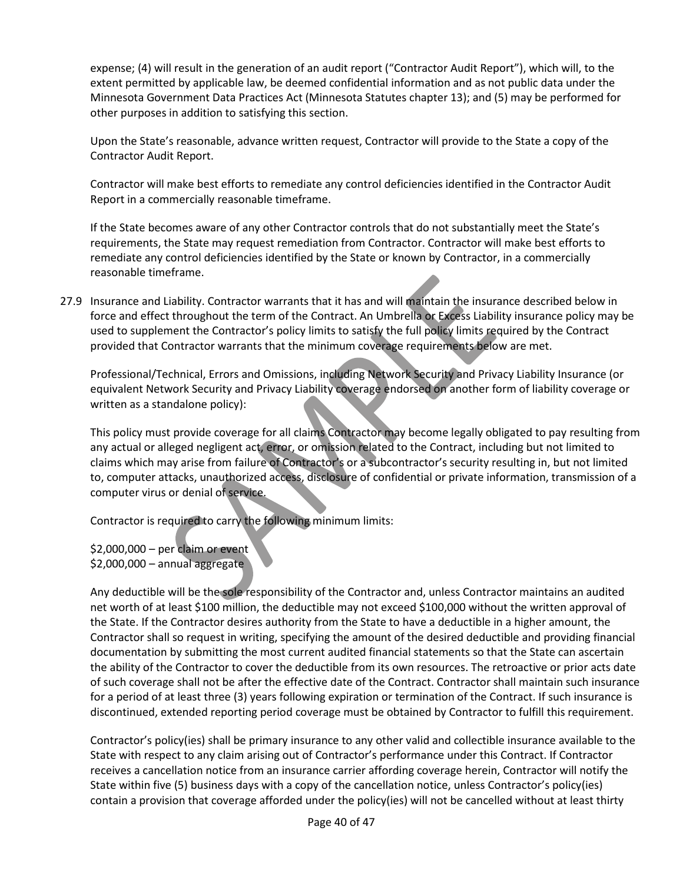expense; (4) will result in the generation of an audit report ("Contractor Audit Report"), which will, to the extent permitted by applicable law, be deemed confidential information and as not public data under the Minnesota Government Data Practices Act (Minnesota Statutes chapter 13); and (5) may be performed for other purposes in addition to satisfying this section.

Upon the State's reasonable, advance written request, Contractor will provide to the State a copy of the Contractor Audit Report.

Contractor will make best efforts to remediate any control deficiencies identified in the Contractor Audit Report in a commercially reasonable timeframe.

If the State becomes aware of any other Contractor controls that do not substantially meet the State's requirements, the State may request remediation from Contractor. Contractor will make best efforts to remediate any control deficiencies identified by the State or known by Contractor, in a commercially reasonable timeframe.

27.9 Insurance and Liability. Contractor warrants that it has and will maintain the insurance described below in force and effect throughout the term of the Contract. An Umbrella or Excess Liability insurance policy may be used to supplement the Contractor's policy limits to satisfy the full policy limits required by the Contract provided that Contractor warrants that the minimum coverage requirements below are met.

Professional/Technical, Errors and Omissions, including Network Security and Privacy Liability Insurance (or equivalent Network Security and Privacy Liability coverage endorsed on another form of liability coverage or written as a standalone policy):

This policy must provide coverage for all claims Contractor may become legally obligated to pay resulting from any actual or alleged negligent act, error, or omission related to the Contract, including but not limited to claims which may arise from failure of Contractor's or a subcontractor's security resulting in, but not limited to, computer attacks, unauthorized access, disclosure of confidential or private information, transmission of a computer virus or denial of service.

Contractor is required to carry the following minimum limits:

\$2,000,000 – per claim or event \$2,000,000 – annual aggregate

Any deductible will be the sole responsibility of the Contractor and, unless Contractor maintains an audited net worth of at least \$100 million, the deductible may not exceed \$100,000 without the written approval of the State. If the Contractor desires authority from the State to have a deductible in a higher amount, the Contractor shall so request in writing, specifying the amount of the desired deductible and providing financial documentation by submitting the most current audited financial statements so that the State can ascertain the ability of the Contractor to cover the deductible from its own resources. The retroactive or prior acts date of such coverage shall not be after the effective date of the Contract. Contractor shall maintain such insurance for a period of at least three (3) years following expiration or termination of the Contract. If such insurance is discontinued, extended reporting period coverage must be obtained by Contractor to fulfill this requirement.

Contractor's policy(ies) shall be primary insurance to any other valid and collectible insurance available to the State with respect to any claim arising out of Contractor's performance under this Contract. If Contractor receives a cancellation notice from an insurance carrier affording coverage herein, Contractor will notify the State within five (5) business days with a copy of the cancellation notice, unless Contractor's policy(ies) contain a provision that coverage afforded under the policy(ies) will not be cancelled without at least thirty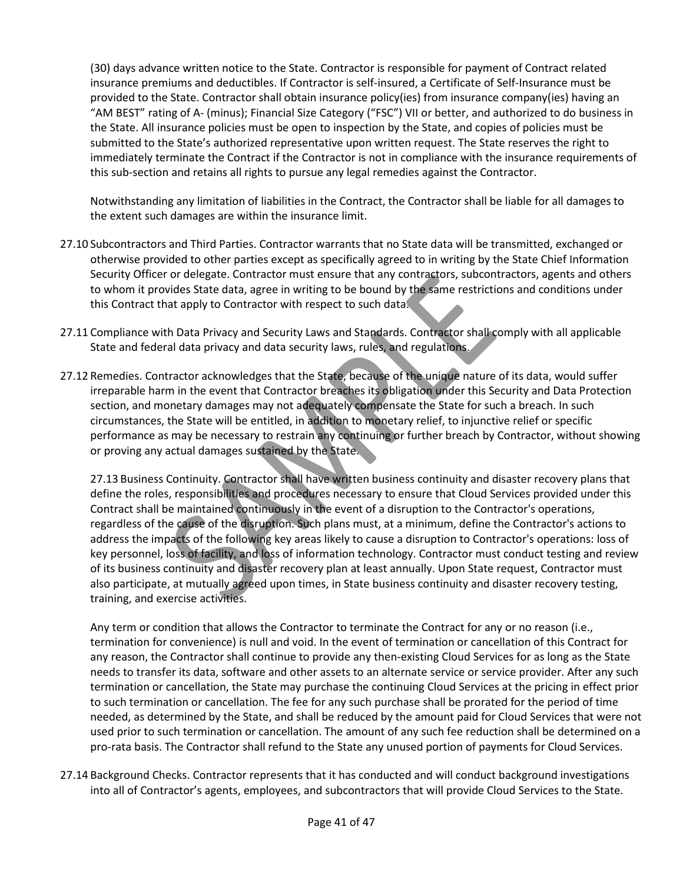(30) days advance written notice to the State. Contractor is responsible for payment of Contract related insurance premiums and deductibles. If Contractor is self-insured, a Certificate of Self-Insurance must be provided to the State. Contractor shall obtain insurance policy(ies) from insurance company(ies) having an "AM BEST" rating of A- (minus); Financial Size Category ("FSC") VII or better, and authorized to do business in the State. All insurance policies must be open to inspection by the State, and copies of policies must be submitted to the State's authorized representative upon written request. The State reserves the right to immediately terminate the Contract if the Contractor is not in compliance with the insurance requirements of this sub-section and retains all rights to pursue any legal remedies against the Contractor.

Notwithstanding any limitation of liabilities in the Contract, the Contractor shall be liable for all damages to the extent such damages are within the insurance limit.

- 27.10 Subcontractors and Third Parties. Contractor warrants that no State data will be transmitted, exchanged or otherwise provided to other parties except as specifically agreed to in writing by the State Chief Information Security Officer or delegate. Contractor must ensure that any contractors, subcontractors, agents and others to whom it provides State data, agree in writing to be bound by the same restrictions and conditions under this Contract that apply to Contractor with respect to such data.
- 27.11 Compliance with Data Privacy and Security Laws and Standards. Contractor shall comply with all applicable State and federal data privacy and data security laws, rules, and regulations.
- 27.12 Remedies. Contractor acknowledges that the State, because of the unique nature of its data, would suffer irreparable harm in the event that Contractor breaches its obligation under this Security and Data Protection section, and monetary damages may not adequately compensate the State for such a breach. In such circumstances, the State will be entitled, in addition to monetary relief, to injunctive relief or specific performance as may be necessary to restrain any continuing or further breach by Contractor, without showing or proving any actual damages sustained by the State.

27.13 Business Continuity. Contractor shall have written business continuity and disaster recovery plans that define the roles, responsibilities and procedures necessary to ensure that Cloud Services provided under this Contract shall be maintained continuously in the event of a disruption to the Contractor's operations, regardless of the cause of the disruption. Such plans must, at a minimum, define the Contractor's actions to address the impacts of the following key areas likely to cause a disruption to Contractor's operations: loss of key personnel, loss of facility, and loss of information technology. Contractor must conduct testing and review of its business continuity and disaster recovery plan at least annually. Upon State request, Contractor must also participate, at mutually agreed upon times, in State business continuity and disaster recovery testing, training, and exercise activities.

Any term or condition that allows the Contractor to terminate the Contract for any or no reason (i.e., termination for convenience) is null and void. In the event of termination or cancellation of this Contract for any reason, the Contractor shall continue to provide any then-existing Cloud Services for as long as the State needs to transfer its data, software and other assets to an alternate service or service provider. After any such termination or cancellation, the State may purchase the continuing Cloud Services at the pricing in effect prior to such termination or cancellation. The fee for any such purchase shall be prorated for the period of time needed, as determined by the State, and shall be reduced by the amount paid for Cloud Services that were not used prior to such termination or cancellation. The amount of any such fee reduction shall be determined on a pro-rata basis. The Contractor shall refund to the State any unused portion of payments for Cloud Services.

27.14 Background Checks. Contractor represents that it has conducted and will conduct background investigations into all of Contractor's agents, employees, and subcontractors that will provide Cloud Services to the State.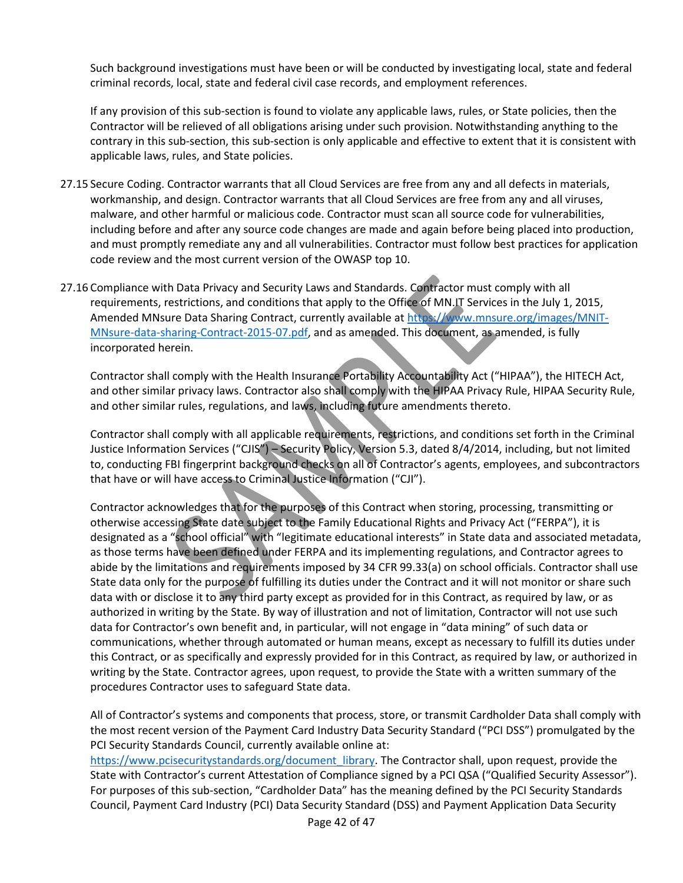Such background investigations must have been or will be conducted by investigating local, state and federal criminal records, local, state and federal civil case records, and employment references.

If any provision of this sub-section is found to violate any applicable laws, rules, or State policies, then the Contractor will be relieved of all obligations arising under such provision. Notwithstanding anything to the contrary in this sub-section, this sub-section is only applicable and effective to extent that it is consistent with applicable laws, rules, and State policies.

- 27.15 Secure Coding. Contractor warrants that all Cloud Services are free from any and all defects in materials, workmanship, and design. Contractor warrants that all Cloud Services are free from any and all viruses, malware, and other harmful or malicious code. Contractor must scan all source code for vulnerabilities, including before and after any source code changes are made and again before being placed into production, and must promptly remediate any and all vulnerabilities. Contractor must follow best practices for application code review and the most current version of the OWASP top 10.
- 27.16 Compliance with Data Privacy and Security Laws and Standards. Contractor must comply with all requirements, restrictions, and conditions that apply to the Office of MN.IT Services in the July 1, 2015, Amended MNsure Data Sharing Contract, currently available at [https://www.mnsure.org/images/MNIT-](https://www.mnsure.org/images/MNIT-MNsure-data-sharing-agreement-2015-07.pdf)[MNsure-data-sharing-Contract-2015-07.pdf,](https://www.mnsure.org/images/MNIT-MNsure-data-sharing-agreement-2015-07.pdf) and as amended. This document, as amended, is fully incorporated herein.

Contractor shall comply with the Health Insurance Portability Accountability Act ("HIPAA"), the HITECH Act, and other similar privacy laws. Contractor also shall comply with the HIPAA Privacy Rule, HIPAA Security Rule, and other similar rules, regulations, and laws, including future amendments thereto.

Contractor shall comply with all applicable requirements, restrictions, and conditions set forth in the Criminal Justice Information Services ("CJIS") – Security Policy, Version 5.3, dated 8/4/2014, including, but not limited to, conducting FBI fingerprint background checks on all of Contractor's agents, employees, and subcontractors that have or will have access to Criminal Justice Information ("CJI").

Contractor acknowledges that for the purposes of this Contract when storing, processing, transmitting or otherwise accessing State date subject to the Family Educational Rights and Privacy Act ("FERPA"), it is designated as a "school official" with "legitimate educational interests" in State data and associated metadata, as those terms have been defined under FERPA and its implementing regulations, and Contractor agrees to abide by the limitations and requirements imposed by 34 CFR 99.33(a) on school officials. Contractor shall use State data only for the purpose of fulfilling its duties under the Contract and it will not monitor or share such data with or disclose it to any third party except as provided for in this Contract, as required by law, or as authorized in writing by the State. By way of illustration and not of limitation, Contractor will not use such data for Contractor's own benefit and, in particular, will not engage in "data mining" of such data or communications, whether through automated or human means, except as necessary to fulfill its duties under this Contract, or as specifically and expressly provided for in this Contract, as required by law, or authorized in writing by the State. Contractor agrees, upon request, to provide the State with a written summary of the procedures Contractor uses to safeguard State data.

All of Contractor's systems and components that process, store, or transmit Cardholder Data shall comply with the most recent version of the Payment Card Industry Data Security Standard ("PCI DSS") promulgated by the PCI Security Standards Council, currently available online at:

[https://www.pcisecuritystandards.org/document\\_library.](https://www.pcisecuritystandards.org/document_library) The Contractor shall, upon request, provide the State with Contractor's current Attestation of Compliance signed by a PCI QSA ("Qualified Security Assessor"). For purposes of this sub-section, "Cardholder Data" has the meaning defined by the PCI Security Standards Council, Payment Card Industry (PCI) Data Security Standard (DSS) and Payment Application Data Security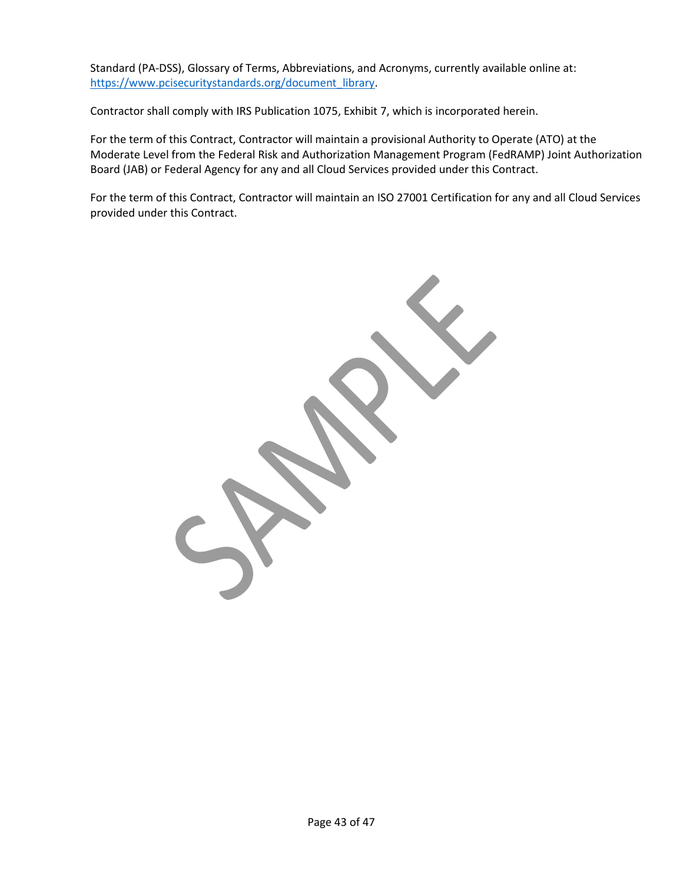Standard (PA-DSS), Glossary of Terms, Abbreviations, and Acronyms, currently available online at: [https://www.pcisecuritystandards.org/document\\_library.](https://www.pcisecuritystandards.org/document_library)

Contractor shall comply with IRS Publication 1075, Exhibit 7, which is incorporated herein.

For the term of this Contract, Contractor will maintain a provisional Authority to Operate (ATO) at the Moderate Level from the Federal Risk and Authorization Management Program (FedRAMP) Joint Authorization Board (JAB) or Federal Agency for any and all Cloud Services provided under this Contract.

For the term of this Contract, Contractor will maintain an ISO 27001 Certification for any and all Cloud Services provided under this Contract.

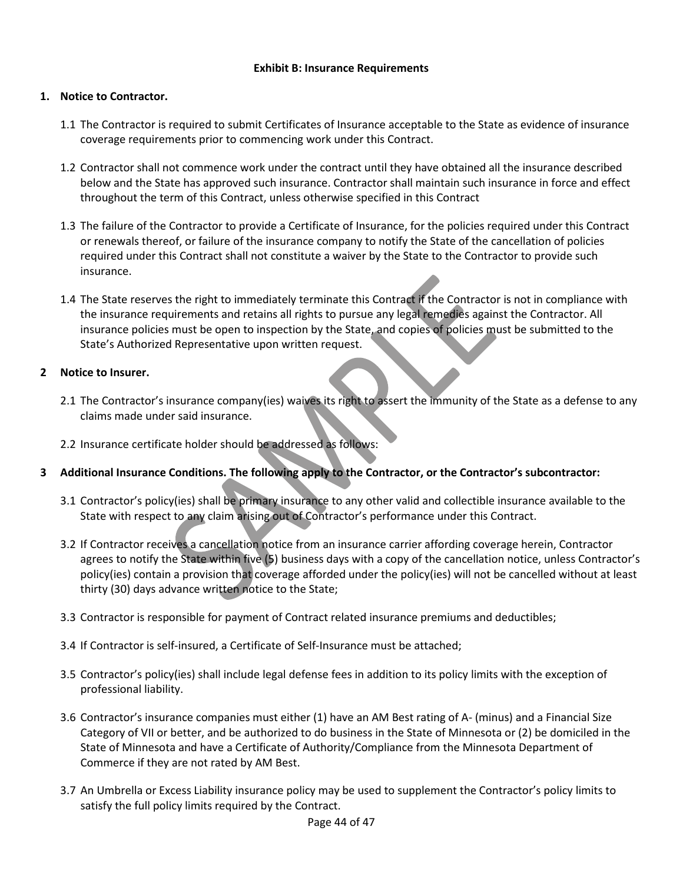### **Exhibit B: Insurance Requirements**

### **1. Notice to Contractor.**

- 1.1 The Contractor is required to submit Certificates of Insurance acceptable to the State as evidence of insurance coverage requirements prior to commencing work under this Contract.
- 1.2 Contractor shall not commence work under the contract until they have obtained all the insurance described below and the State has approved such insurance. Contractor shall maintain such insurance in force and effect throughout the term of this Contract, unless otherwise specified in this Contract
- 1.3 The failure of the Contractor to provide a Certificate of Insurance, for the policies required under this Contract or renewals thereof, or failure of the insurance company to notify the State of the cancellation of policies required under this Contract shall not constitute a waiver by the State to the Contractor to provide such insurance.
- 1.4 The State reserves the right to immediately terminate this Contract if the Contractor is not in compliance with the insurance requirements and retains all rights to pursue any legal remedies against the Contractor. All insurance policies must be open to inspection by the State, and copies of policies must be submitted to the State's Authorized Representative upon written request.

### **2 Notice to Insurer.**

- 2.1 The Contractor's insurance company(ies) waives its right to assert the immunity of the State as a defense to any claims made under said insurance.
- 2.2 Insurance certificate holder should be addressed as follows:
- **3 Additional Insurance Conditions. The following apply to the Contractor, or the Contractor's subcontractor:**
	- 3.1 Contractor's policy(ies) shall be primary insurance to any other valid and collectible insurance available to the State with respect to any claim arising out of Contractor's performance under this Contract.
	- 3.2 If Contractor receives a cancellation notice from an insurance carrier affording coverage herein, Contractor agrees to notify the State within five (5) business days with a copy of the cancellation notice, unless Contractor's policy(ies) contain a provision that coverage afforded under the policy(ies) will not be cancelled without at least thirty (30) days advance written notice to the State;
	- 3.3 Contractor is responsible for payment of Contract related insurance premiums and deductibles;
	- 3.4 If Contractor is self-insured, a Certificate of Self-Insurance must be attached;
	- 3.5 Contractor's policy(ies) shall include legal defense fees in addition to its policy limits with the exception of professional liability.
	- 3.6 Contractor's insurance companies must either (1) have an AM Best rating of A- (minus) and a Financial Size Category of VII or better, and be authorized to do business in the State of Minnesota or (2) be domiciled in the State of Minnesota and have a Certificate of Authority/Compliance from the Minnesota Department of Commerce if they are not rated by AM Best.
	- 3.7 An Umbrella or Excess Liability insurance policy may be used to supplement the Contractor's policy limits to satisfy the full policy limits required by the Contract.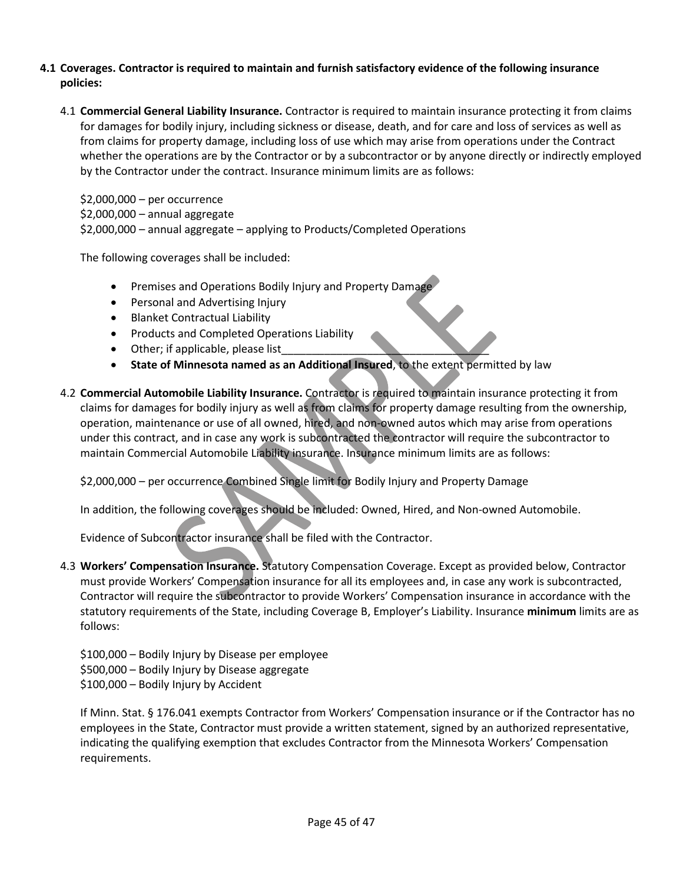### **4.1 Coverages. Contractor is required to maintain and furnish satisfactory evidence of the following insurance policies:**

4.1 **Commercial General Liability Insurance.** Contractor is required to maintain insurance protecting it from claims for damages for bodily injury, including sickness or disease, death, and for care and loss of services as well as from claims for property damage, including loss of use which may arise from operations under the Contract whether the operations are by the Contractor or by a subcontractor or by anyone directly or indirectly employed by the Contractor under the contract. Insurance minimum limits are as follows:

\$2,000,000 – per occurrence \$2,000,000 – annual aggregate \$2,000,000 – annual aggregate – applying to Products/Completed Operations

The following coverages shall be included:

- Premises and Operations Bodily Injury and Property Damage
- Personal and Advertising Injury
- Blanket Contractual Liability
- Products and Completed Operations Liability
- Other; if applicable, please list
- **State of Minnesota named as an Additional Insured**, to the extent permitted by law
- 4.2 **Commercial Automobile Liability Insurance.** Contractor is required to maintain insurance protecting it from claims for damages for bodily injury as well as from claims for property damage resulting from the ownership, operation, maintenance or use of all owned, hired, and non-owned autos which may arise from operations under this contract, and in case any work is subcontracted the contractor will require the subcontractor to maintain Commercial Automobile Liability insurance. Insurance minimum limits are as follows:

\$2,000,000 – per occurrence Combined Single limit for Bodily Injury and Property Damage

In addition, the following coverages should be included: Owned, Hired, and Non-owned Automobile.

Evidence of Subcontractor insurance shall be filed with the Contractor.

4.3 **Workers' Compensation Insurance.** Statutory Compensation Coverage. Except as provided below, Contractor must provide Workers' Compensation insurance for all its employees and, in case any work is subcontracted, Contractor will require the subcontractor to provide Workers' Compensation insurance in accordance with the statutory requirements of the State, including Coverage B, Employer's Liability. Insurance **minimum** limits are as follows:

\$100,000 – Bodily Injury by Disease per employee \$500,000 – Bodily Injury by Disease aggregate \$100,000 – Bodily Injury by Accident

If Minn. Stat. § 176.041 exempts Contractor from Workers' Compensation insurance or if the Contractor has no employees in the State, Contractor must provide a written statement, signed by an authorized representative, indicating the qualifying exemption that excludes Contractor from the Minnesota Workers' Compensation requirements.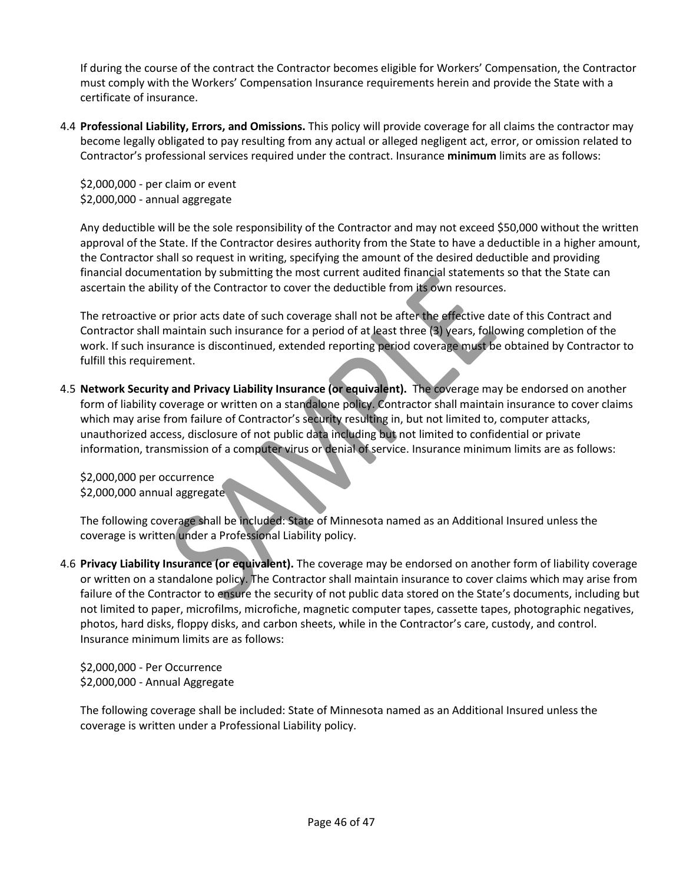If during the course of the contract the Contractor becomes eligible for Workers' Compensation, the Contractor must comply with the Workers' Compensation Insurance requirements herein and provide the State with a certificate of insurance.

4.4 **Professional Liability, Errors, and Omissions.** This policy will provide coverage for all claims the contractor may become legally obligated to pay resulting from any actual or alleged negligent act, error, or omission related to Contractor's professional services required under the contract. Insurance **minimum** limits are as follows:

\$2,000,000 - per claim or event \$2,000,000 - annual aggregate

Any deductible will be the sole responsibility of the Contractor and may not exceed \$50,000 without the written approval of the State. If the Contractor desires authority from the State to have a deductible in a higher amount, the Contractor shall so request in writing, specifying the amount of the desired deductible and providing financial documentation by submitting the most current audited financial statements so that the State can ascertain the ability of the Contractor to cover the deductible from its own resources.

The retroactive or prior acts date of such coverage shall not be after the effective date of this Contract and Contractor shall maintain such insurance for a period of at least three (3) years, following completion of the work. If such insurance is discontinued, extended reporting period coverage must be obtained by Contractor to fulfill this requirement.

4.5 **Network Security and Privacy Liability Insurance (or equivalent).** The coverage may be endorsed on another form of liability coverage or written on a standalone policy. Contractor shall maintain insurance to cover claims which may arise from failure of Contractor's security resulting in, but not limited to, computer attacks, unauthorized access, disclosure of not public data including but not limited to confidential or private information, transmission of a computer virus or denial of service. Insurance minimum limits are as follows:

\$2,000,000 per occurrence \$2,000,000 annual aggregate

The following coverage shall be included: State of Minnesota named as an Additional Insured unless the coverage is written under a Professional Liability policy.

4.6 **Privacy Liability Insurance (or equivalent).** The coverage may be endorsed on another form of liability coverage or written on a standalone policy. The Contractor shall maintain insurance to cover claims which may arise from failure of the Contractor to ensure the security of not public data stored on the State's documents, including but not limited to paper, microfilms, microfiche, magnetic computer tapes, cassette tapes, photographic negatives, photos, hard disks, floppy disks, and carbon sheets, while in the Contractor's care, custody, and control. Insurance minimum limits are as follows:

\$2,000,000 - Per Occurrence \$2,000,000 - Annual Aggregate

The following coverage shall be included: State of Minnesota named as an Additional Insured unless the coverage is written under a Professional Liability policy.